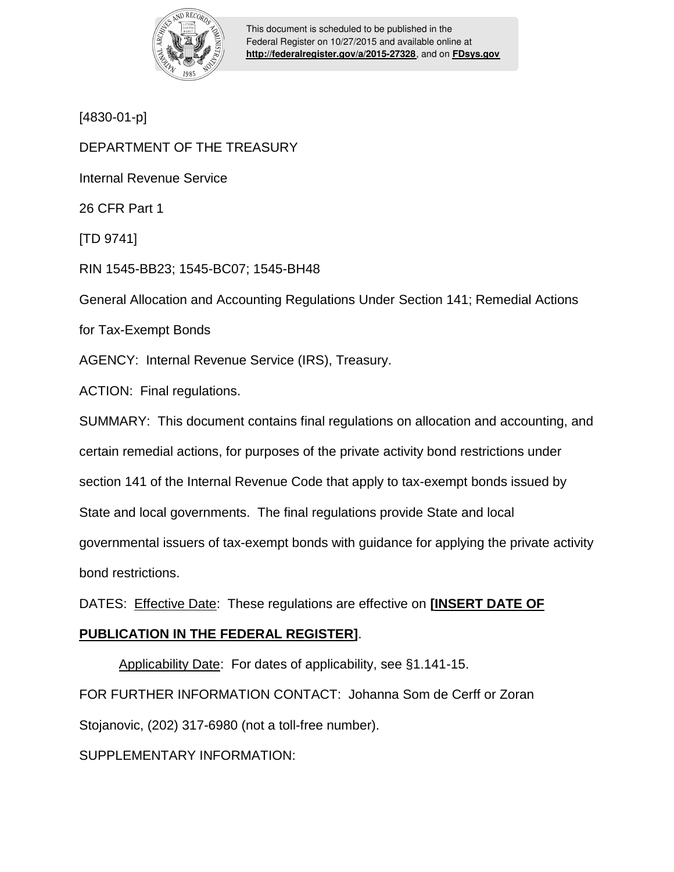

This document is scheduled to be published in the Federal Register on 10/27/2015 and available online at **<http://federalregister.gov/a/2015-27328>**, and on **[FDsys.gov](http://federalregister.gov/a/2015-27328.pdf)**

[4830-01-p]

DEPARTMENT OF THE TREASURY

Internal Revenue Service

26 CFR Part 1

[TD 9741]

RIN 1545-BB23; 1545-BC07; 1545-BH48

General Allocation and Accounting Regulations Under Section 141; Remedial Actions

for Tax-Exempt Bonds

AGENCY: Internal Revenue Service (IRS), Treasury.

ACTION: Final regulations.

SUMMARY: This document contains final regulations on allocation and accounting, and certain remedial actions, for purposes of the private activity bond restrictions under section 141 of the Internal Revenue Code that apply to tax-exempt bonds issued by State and local governments. The final regulations provide State and local governmental issuers of tax-exempt bonds with guidance for applying the private activity bond restrictions.

DATES: Effective Date: These regulations are effective on **[INSERT DATE OF** 

# **PUBLICATION IN THE FEDERAL REGISTER]**.

Applicability Date: For dates of applicability, see §1.141-15.

FOR FURTHER INFORMATION CONTACT: Johanna Som de Cerff or Zoran

Stojanovic, (202) 317-6980 (not a toll-free number).

SUPPLEMENTARY INFORMATION: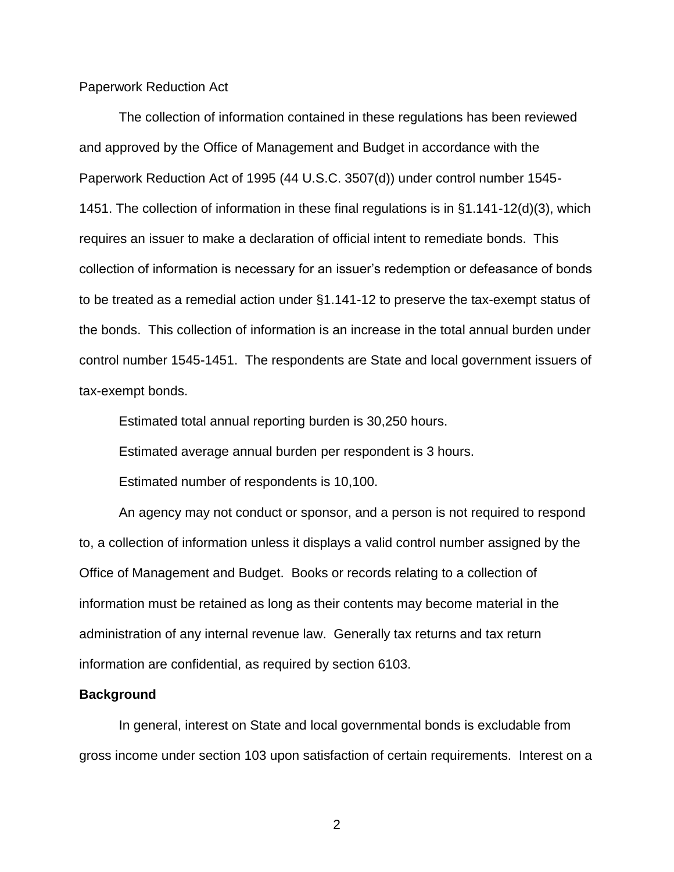Paperwork Reduction Act

The collection of information contained in these regulations has been reviewed and approved by the Office of Management and Budget in accordance with the Paperwork Reduction Act of 1995 (44 U.S.C. 3507(d)) under control number 1545- 1451. The collection of information in these final regulations is in §1.141-12(d)(3), which requires an issuer to make a declaration of official intent to remediate bonds. This collection of information is necessary for an issuer's redemption or defeasance of bonds to be treated as a remedial action under §1.141-12 to preserve the tax-exempt status of the bonds. This collection of information is an increase in the total annual burden under control number 1545-1451. The respondents are State and local government issuers of tax-exempt bonds.

Estimated total annual reporting burden is 30,250 hours.

Estimated average annual burden per respondent is 3 hours.

Estimated number of respondents is 10,100.

An agency may not conduct or sponsor, and a person is not required to respond to, a collection of information unless it displays a valid control number assigned by the Office of Management and Budget. Books or records relating to a collection of information must be retained as long as their contents may become material in the administration of any internal revenue law. Generally tax returns and tax return information are confidential, as required by section 6103.

#### **Background**

In general, interest on State and local governmental bonds is excludable from gross income under section 103 upon satisfaction of certain requirements. Interest on a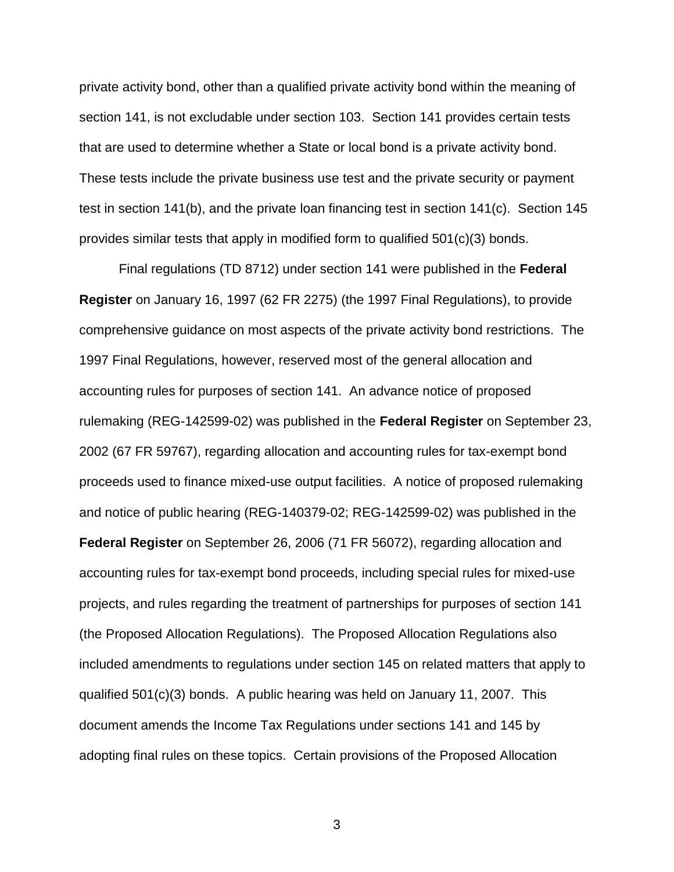private activity bond, other than a qualified private activity bond within the meaning of section 141, is not excludable under section 103. Section 141 provides certain tests that are used to determine whether a State or local bond is a private activity bond. These tests include the private business use test and the private security or payment test in section 141(b), and the private loan financing test in section 141(c). Section 145 provides similar tests that apply in modified form to qualified 501(c)(3) bonds.

Final regulations (TD 8712) under section 141 were published in the **Federal Register** on January 16, 1997 (62 FR 2275) (the 1997 Final Regulations), to provide comprehensive guidance on most aspects of the private activity bond restrictions. The 1997 Final Regulations, however, reserved most of the general allocation and accounting rules for purposes of section 141. An advance notice of proposed rulemaking (REG-142599-02) was published in the **Federal Register** on September 23, 2002 (67 FR 59767), regarding allocation and accounting rules for tax-exempt bond proceeds used to finance mixed-use output facilities. A notice of proposed rulemaking and notice of public hearing (REG-140379-02; REG-142599-02) was published in the **Federal Register** on September 26, 2006 (71 FR 56072), regarding allocation and accounting rules for tax-exempt bond proceeds, including special rules for mixed-use projects, and rules regarding the treatment of partnerships for purposes of section 141 (the Proposed Allocation Regulations). The Proposed Allocation Regulations also included amendments to regulations under section 145 on related matters that apply to qualified 501(c)(3) bonds. A public hearing was held on January 11, 2007. This document amends the Income Tax Regulations under sections 141 and 145 by adopting final rules on these topics. Certain provisions of the Proposed Allocation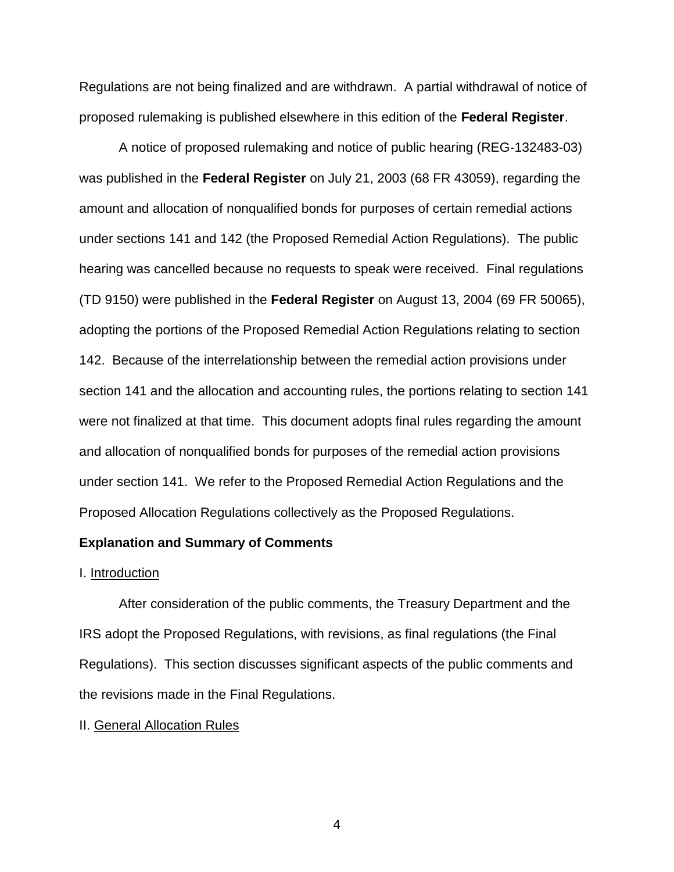Regulations are not being finalized and are withdrawn. A partial withdrawal of notice of proposed rulemaking is published elsewhere in this edition of the **Federal Register**.

A notice of proposed rulemaking and notice of public hearing (REG-132483-03) was published in the **Federal Register** on July 21, 2003 (68 FR 43059), regarding the amount and allocation of nonqualified bonds for purposes of certain remedial actions under sections 141 and 142 (the Proposed Remedial Action Regulations). The public hearing was cancelled because no requests to speak were received. Final regulations (TD 9150) were published in the **Federal Register** on August 13, 2004 (69 FR 50065), adopting the portions of the Proposed Remedial Action Regulations relating to section 142. Because of the interrelationship between the remedial action provisions under section 141 and the allocation and accounting rules, the portions relating to section 141 were not finalized at that time. This document adopts final rules regarding the amount and allocation of nonqualified bonds for purposes of the remedial action provisions under section 141. We refer to the Proposed Remedial Action Regulations and the Proposed Allocation Regulations collectively as the Proposed Regulations.

## **Explanation and Summary of Comments**

### I. Introduction

After consideration of the public comments, the Treasury Department and the IRS adopt the Proposed Regulations, with revisions, as final regulations (the Final Regulations). This section discusses significant aspects of the public comments and the revisions made in the Final Regulations.

### II. General Allocation Rules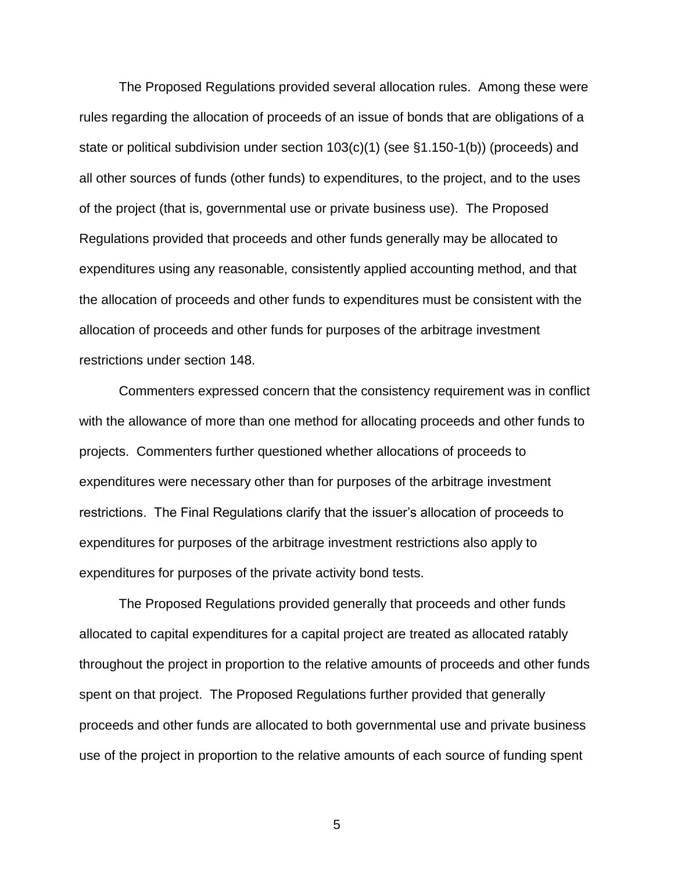The Proposed Regulations provided several allocation rules. Among these were rules regarding the allocation of proceeds of an issue of bonds that are obligations of a state or political subdivision under section 103(c)(1) (see §1.150-1(b)) (proceeds) and all other sources of funds (other funds) to expenditures, to the project, and to the uses of the project (that is, governmental use or private business use). The Proposed Regulations provided that proceeds and other funds generally may be allocated to expenditures using any reasonable, consistently applied accounting method, and that the allocation of proceeds and other funds to expenditures must be consistent with the allocation of proceeds and other funds for purposes of the arbitrage investment restrictions under section 148.

Commenters expressed concern that the consistency requirement was in conflict with the allowance of more than one method for allocating proceeds and other funds to projects. Commenters further questioned whether allocations of proceeds to expenditures were necessary other than for purposes of the arbitrage investment restrictions. The Final Regulations clarify that the issuer's allocation of proceeds to expenditures for purposes of the arbitrage investment restrictions also apply to expenditures for purposes of the private activity bond tests.

The Proposed Regulations provided generally that proceeds and other funds allocated to capital expenditures for a capital project are treated as allocated ratably throughout the project in proportion to the relative amounts of proceeds and other funds spent on that project. The Proposed Regulations further provided that generally proceeds and other funds are allocated to both governmental use and private business use of the project in proportion to the relative amounts of each source of funding spent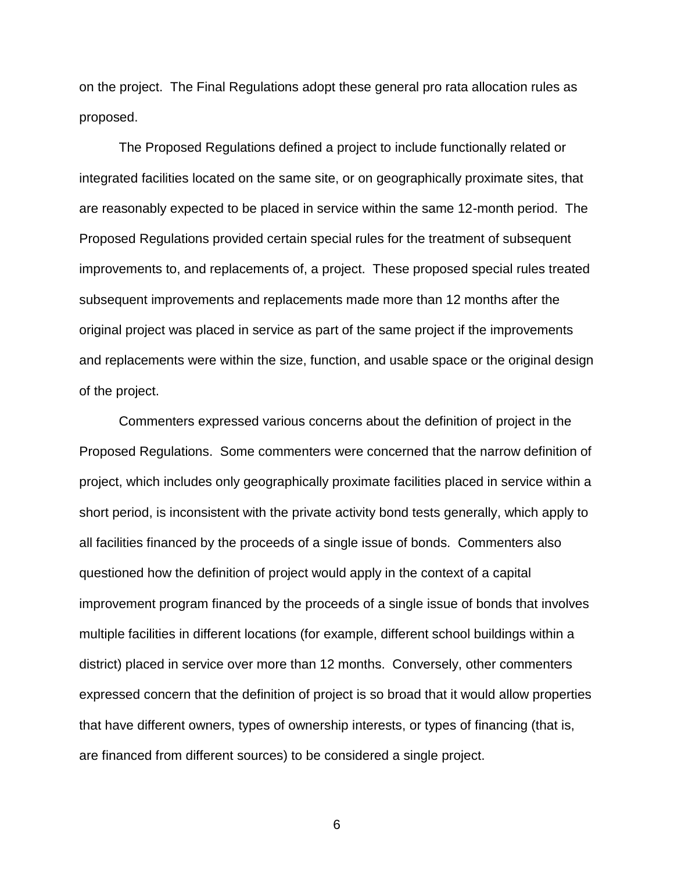on the project. The Final Regulations adopt these general pro rata allocation rules as proposed.

The Proposed Regulations defined a project to include functionally related or integrated facilities located on the same site, or on geographically proximate sites, that are reasonably expected to be placed in service within the same 12-month period. The Proposed Regulations provided certain special rules for the treatment of subsequent improvements to, and replacements of, a project. These proposed special rules treated subsequent improvements and replacements made more than 12 months after the original project was placed in service as part of the same project if the improvements and replacements were within the size, function, and usable space or the original design of the project.

Commenters expressed various concerns about the definition of project in the Proposed Regulations. Some commenters were concerned that the narrow definition of project, which includes only geographically proximate facilities placed in service within a short period, is inconsistent with the private activity bond tests generally, which apply to all facilities financed by the proceeds of a single issue of bonds. Commenters also questioned how the definition of project would apply in the context of a capital improvement program financed by the proceeds of a single issue of bonds that involves multiple facilities in different locations (for example, different school buildings within a district) placed in service over more than 12 months. Conversely, other commenters expressed concern that the definition of project is so broad that it would allow properties that have different owners, types of ownership interests, or types of financing (that is, are financed from different sources) to be considered a single project.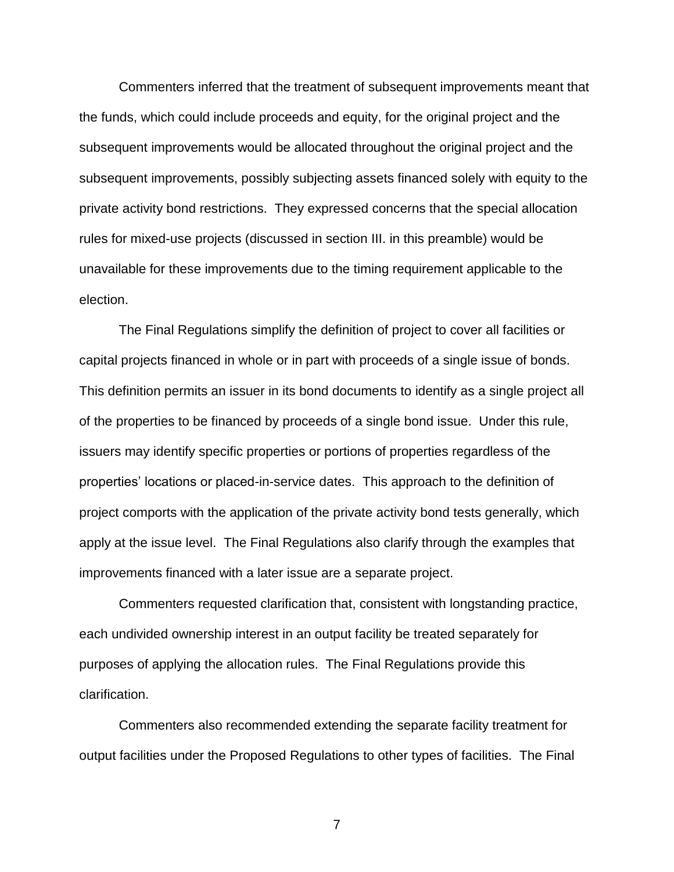Commenters inferred that the treatment of subsequent improvements meant that the funds, which could include proceeds and equity, for the original project and the subsequent improvements would be allocated throughout the original project and the subsequent improvements, possibly subjecting assets financed solely with equity to the private activity bond restrictions. They expressed concerns that the special allocation rules for mixed-use projects (discussed in section III. in this preamble) would be unavailable for these improvements due to the timing requirement applicable to the election.

The Final Regulations simplify the definition of project to cover all facilities or capital projects financed in whole or in part with proceeds of a single issue of bonds. This definition permits an issuer in its bond documents to identify as a single project all of the properties to be financed by proceeds of a single bond issue. Under this rule, issuers may identify specific properties or portions of properties regardless of the properties' locations or placed-in-service dates. This approach to the definition of project comports with the application of the private activity bond tests generally, which apply at the issue level. The Final Regulations also clarify through the examples that improvements financed with a later issue are a separate project.

Commenters requested clarification that, consistent with longstanding practice, each undivided ownership interest in an output facility be treated separately for purposes of applying the allocation rules. The Final Regulations provide this clarification.

Commenters also recommended extending the separate facility treatment for output facilities under the Proposed Regulations to other types of facilities. The Final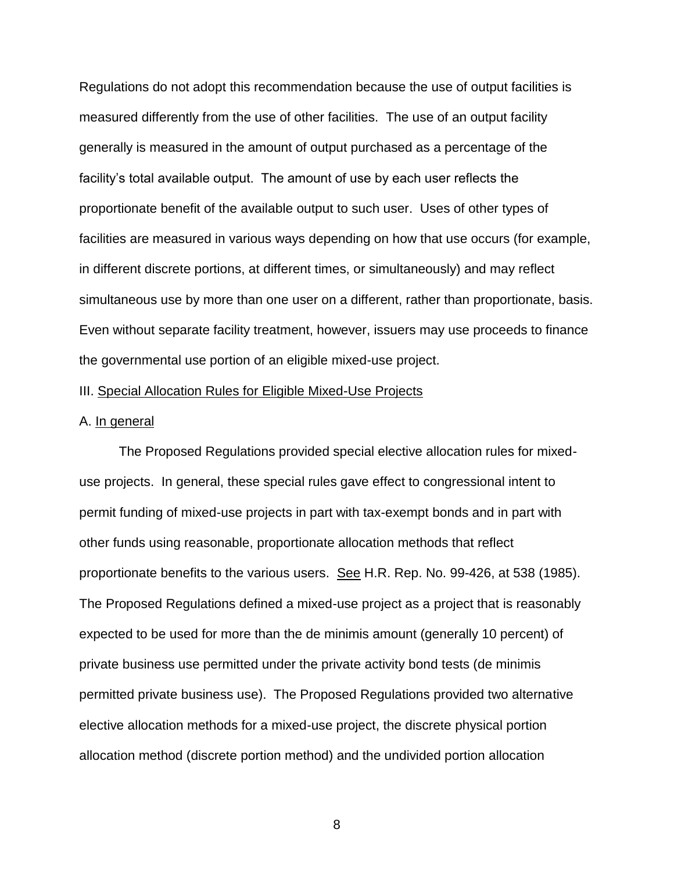Regulations do not adopt this recommendation because the use of output facilities is measured differently from the use of other facilities. The use of an output facility generally is measured in the amount of output purchased as a percentage of the facility's total available output. The amount of use by each user reflects the proportionate benefit of the available output to such user. Uses of other types of facilities are measured in various ways depending on how that use occurs (for example, in different discrete portions, at different times, or simultaneously) and may reflect simultaneous use by more than one user on a different, rather than proportionate, basis. Even without separate facility treatment, however, issuers may use proceeds to finance the governmental use portion of an eligible mixed-use project.

#### III. Special Allocation Rules for Eligible Mixed-Use Projects

#### A. In general

The Proposed Regulations provided special elective allocation rules for mixeduse projects. In general, these special rules gave effect to congressional intent to permit funding of mixed-use projects in part with tax-exempt bonds and in part with other funds using reasonable, proportionate allocation methods that reflect proportionate benefits to the various users. See H.R. Rep. No. 99-426, at 538 (1985). The Proposed Regulations defined a mixed-use project as a project that is reasonably expected to be used for more than the de minimis amount (generally 10 percent) of private business use permitted under the private activity bond tests (de minimis permitted private business use). The Proposed Regulations provided two alternative elective allocation methods for a mixed-use project, the discrete physical portion allocation method (discrete portion method) and the undivided portion allocation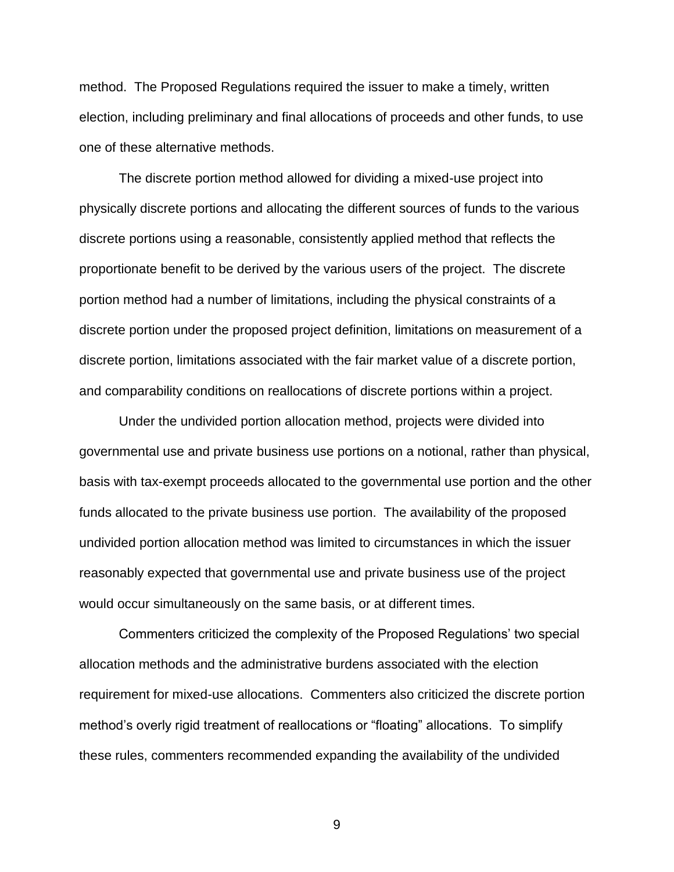method. The Proposed Regulations required the issuer to make a timely, written election, including preliminary and final allocations of proceeds and other funds, to use one of these alternative methods.

The discrete portion method allowed for dividing a mixed-use project into physically discrete portions and allocating the different sources of funds to the various discrete portions using a reasonable, consistently applied method that reflects the proportionate benefit to be derived by the various users of the project. The discrete portion method had a number of limitations, including the physical constraints of a discrete portion under the proposed project definition, limitations on measurement of a discrete portion, limitations associated with the fair market value of a discrete portion, and comparability conditions on reallocations of discrete portions within a project.

Under the undivided portion allocation method, projects were divided into governmental use and private business use portions on a notional, rather than physical, basis with tax-exempt proceeds allocated to the governmental use portion and the other funds allocated to the private business use portion. The availability of the proposed undivided portion allocation method was limited to circumstances in which the issuer reasonably expected that governmental use and private business use of the project would occur simultaneously on the same basis, or at different times.

Commenters criticized the complexity of the Proposed Regulations' two special allocation methods and the administrative burdens associated with the election requirement for mixed-use allocations. Commenters also criticized the discrete portion method's overly rigid treatment of reallocations or "floating" allocations. To simplify these rules, commenters recommended expanding the availability of the undivided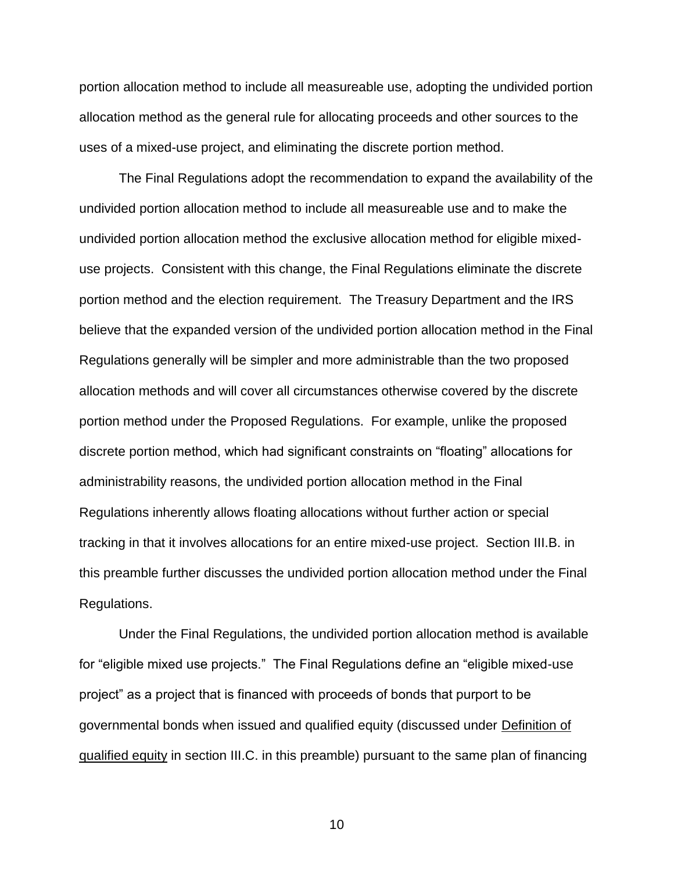portion allocation method to include all measureable use, adopting the undivided portion allocation method as the general rule for allocating proceeds and other sources to the uses of a mixed-use project, and eliminating the discrete portion method.

The Final Regulations adopt the recommendation to expand the availability of the undivided portion allocation method to include all measureable use and to make the undivided portion allocation method the exclusive allocation method for eligible mixeduse projects. Consistent with this change, the Final Regulations eliminate the discrete portion method and the election requirement. The Treasury Department and the IRS believe that the expanded version of the undivided portion allocation method in the Final Regulations generally will be simpler and more administrable than the two proposed allocation methods and will cover all circumstances otherwise covered by the discrete portion method under the Proposed Regulations. For example, unlike the proposed discrete portion method, which had significant constraints on "floating" allocations for administrability reasons, the undivided portion allocation method in the Final Regulations inherently allows floating allocations without further action or special tracking in that it involves allocations for an entire mixed-use project. Section III.B. in this preamble further discusses the undivided portion allocation method under the Final Regulations.

Under the Final Regulations, the undivided portion allocation method is available for "eligible mixed use projects." The Final Regulations define an "eligible mixed-use project" as a project that is financed with proceeds of bonds that purport to be governmental bonds when issued and qualified equity (discussed under Definition of qualified equity in section III.C. in this preamble) pursuant to the same plan of financing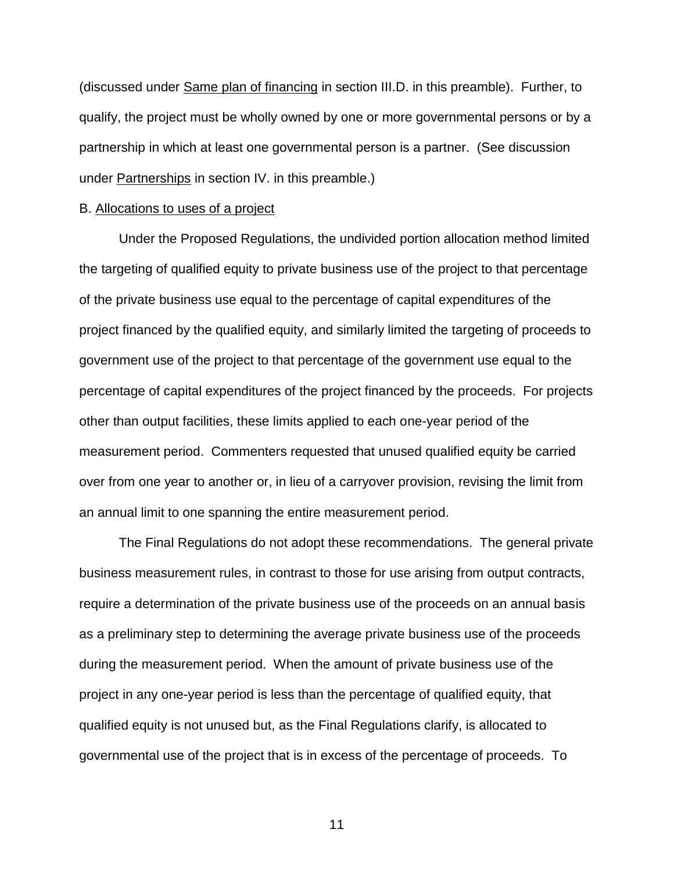(discussed under Same plan of financing in section III.D. in this preamble). Further, to qualify, the project must be wholly owned by one or more governmental persons or by a partnership in which at least one governmental person is a partner. (See discussion under Partnerships in section IV. in this preamble.)

#### B. Allocations to uses of a project

Under the Proposed Regulations, the undivided portion allocation method limited the targeting of qualified equity to private business use of the project to that percentage of the private business use equal to the percentage of capital expenditures of the project financed by the qualified equity, and similarly limited the targeting of proceeds to government use of the project to that percentage of the government use equal to the percentage of capital expenditures of the project financed by the proceeds. For projects other than output facilities, these limits applied to each one-year period of the measurement period. Commenters requested that unused qualified equity be carried over from one year to another or, in lieu of a carryover provision, revising the limit from an annual limit to one spanning the entire measurement period.

The Final Regulations do not adopt these recommendations. The general private business measurement rules, in contrast to those for use arising from output contracts, require a determination of the private business use of the proceeds on an annual basis as a preliminary step to determining the average private business use of the proceeds during the measurement period. When the amount of private business use of the project in any one-year period is less than the percentage of qualified equity, that qualified equity is not unused but, as the Final Regulations clarify, is allocated to governmental use of the project that is in excess of the percentage of proceeds. To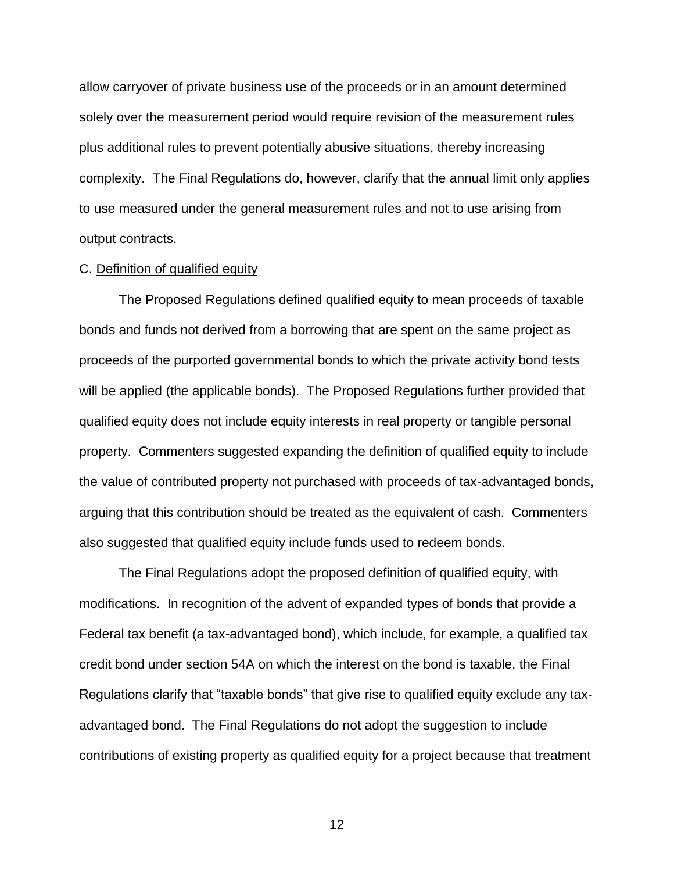allow carryover of private business use of the proceeds or in an amount determined solely over the measurement period would require revision of the measurement rules plus additional rules to prevent potentially abusive situations, thereby increasing complexity. The Final Regulations do, however, clarify that the annual limit only applies to use measured under the general measurement rules and not to use arising from output contracts.

### C. Definition of qualified equity

The Proposed Regulations defined qualified equity to mean proceeds of taxable bonds and funds not derived from a borrowing that are spent on the same project as proceeds of the purported governmental bonds to which the private activity bond tests will be applied (the applicable bonds). The Proposed Regulations further provided that qualified equity does not include equity interests in real property or tangible personal property. Commenters suggested expanding the definition of qualified equity to include the value of contributed property not purchased with proceeds of tax-advantaged bonds, arguing that this contribution should be treated as the equivalent of cash. Commenters also suggested that qualified equity include funds used to redeem bonds.

The Final Regulations adopt the proposed definition of qualified equity, with modifications. In recognition of the advent of expanded types of bonds that provide a Federal tax benefit (a tax-advantaged bond), which include, for example, a qualified tax credit bond under section 54A on which the interest on the bond is taxable, the Final Regulations clarify that "taxable bonds" that give rise to qualified equity exclude any taxadvantaged bond. The Final Regulations do not adopt the suggestion to include contributions of existing property as qualified equity for a project because that treatment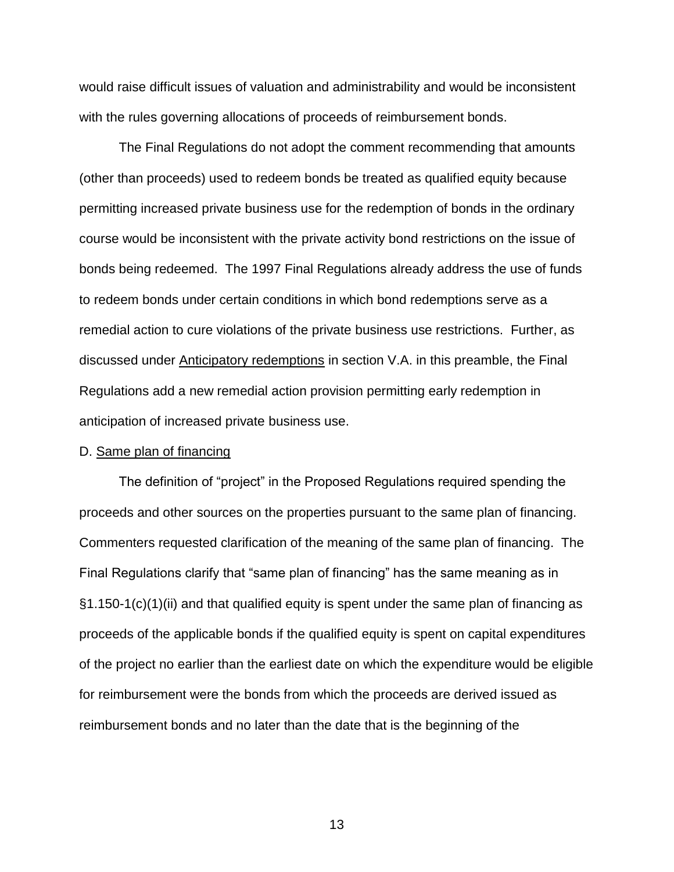would raise difficult issues of valuation and administrability and would be inconsistent with the rules governing allocations of proceeds of reimbursement bonds.

The Final Regulations do not adopt the comment recommending that amounts (other than proceeds) used to redeem bonds be treated as qualified equity because permitting increased private business use for the redemption of bonds in the ordinary course would be inconsistent with the private activity bond restrictions on the issue of bonds being redeemed. The 1997 Final Regulations already address the use of funds to redeem bonds under certain conditions in which bond redemptions serve as a remedial action to cure violations of the private business use restrictions. Further, as discussed under Anticipatory redemptions in section V.A. in this preamble, the Final Regulations add a new remedial action provision permitting early redemption in anticipation of increased private business use.

#### D. Same plan of financing

The definition of "project" in the Proposed Regulations required spending the proceeds and other sources on the properties pursuant to the same plan of financing. Commenters requested clarification of the meaning of the same plan of financing. The Final Regulations clarify that "same plan of financing" has the same meaning as in §1.150-1(c)(1)(ii) and that qualified equity is spent under the same plan of financing as proceeds of the applicable bonds if the qualified equity is spent on capital expenditures of the project no earlier than the earliest date on which the expenditure would be eligible for reimbursement were the bonds from which the proceeds are derived issued as reimbursement bonds and no later than the date that is the beginning of the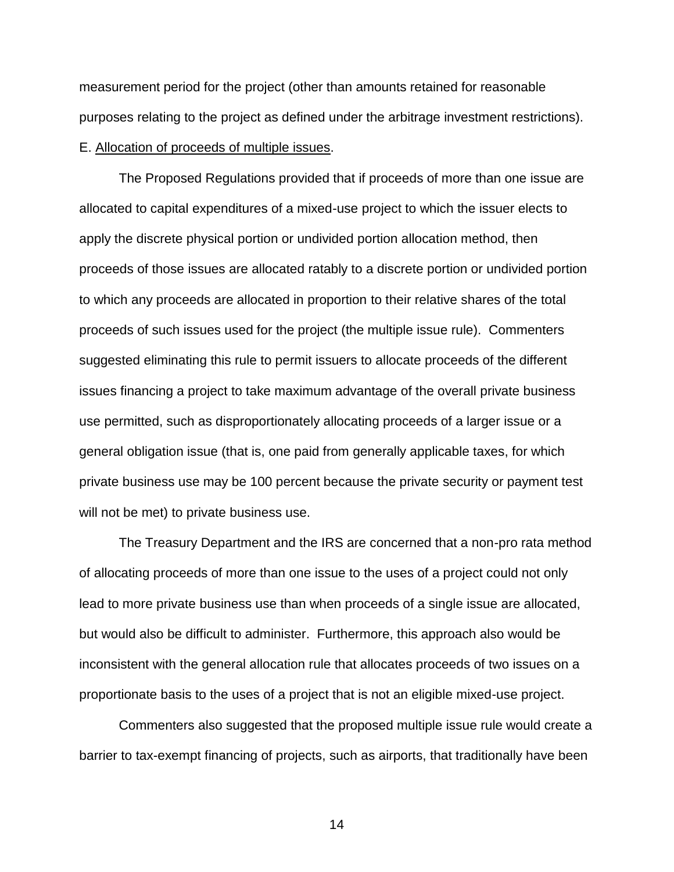measurement period for the project (other than amounts retained for reasonable purposes relating to the project as defined under the arbitrage investment restrictions). E. Allocation of proceeds of multiple issues.

The Proposed Regulations provided that if proceeds of more than one issue are allocated to capital expenditures of a mixed-use project to which the issuer elects to apply the discrete physical portion or undivided portion allocation method, then proceeds of those issues are allocated ratably to a discrete portion or undivided portion to which any proceeds are allocated in proportion to their relative shares of the total proceeds of such issues used for the project (the multiple issue rule). Commenters suggested eliminating this rule to permit issuers to allocate proceeds of the different issues financing a project to take maximum advantage of the overall private business use permitted, such as disproportionately allocating proceeds of a larger issue or a general obligation issue (that is, one paid from generally applicable taxes, for which private business use may be 100 percent because the private security or payment test will not be met) to private business use.

The Treasury Department and the IRS are concerned that a non-pro rata method of allocating proceeds of more than one issue to the uses of a project could not only lead to more private business use than when proceeds of a single issue are allocated, but would also be difficult to administer. Furthermore, this approach also would be inconsistent with the general allocation rule that allocates proceeds of two issues on a proportionate basis to the uses of a project that is not an eligible mixed-use project.

Commenters also suggested that the proposed multiple issue rule would create a barrier to tax-exempt financing of projects, such as airports, that traditionally have been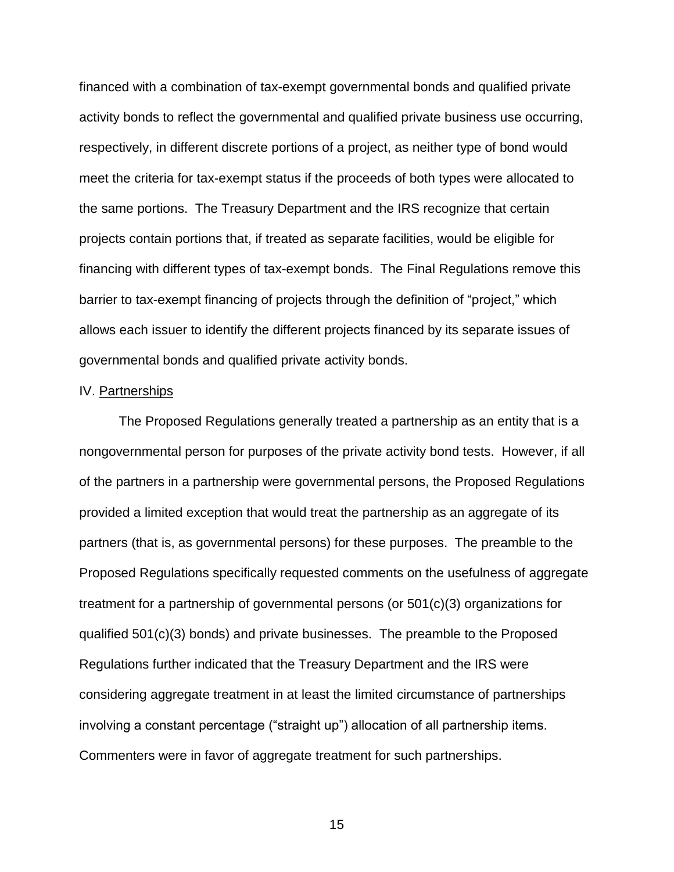financed with a combination of tax-exempt governmental bonds and qualified private activity bonds to reflect the governmental and qualified private business use occurring, respectively, in different discrete portions of a project, as neither type of bond would meet the criteria for tax-exempt status if the proceeds of both types were allocated to the same portions. The Treasury Department and the IRS recognize that certain projects contain portions that, if treated as separate facilities, would be eligible for financing with different types of tax-exempt bonds. The Final Regulations remove this barrier to tax-exempt financing of projects through the definition of "project," which allows each issuer to identify the different projects financed by its separate issues of governmental bonds and qualified private activity bonds.

### IV. Partnerships

The Proposed Regulations generally treated a partnership as an entity that is a nongovernmental person for purposes of the private activity bond tests. However, if all of the partners in a partnership were governmental persons, the Proposed Regulations provided a limited exception that would treat the partnership as an aggregate of its partners (that is, as governmental persons) for these purposes. The preamble to the Proposed Regulations specifically requested comments on the usefulness of aggregate treatment for a partnership of governmental persons (or 501(c)(3) organizations for qualified 501(c)(3) bonds) and private businesses. The preamble to the Proposed Regulations further indicated that the Treasury Department and the IRS were considering aggregate treatment in at least the limited circumstance of partnerships involving a constant percentage ("straight up") allocation of all partnership items. Commenters were in favor of aggregate treatment for such partnerships.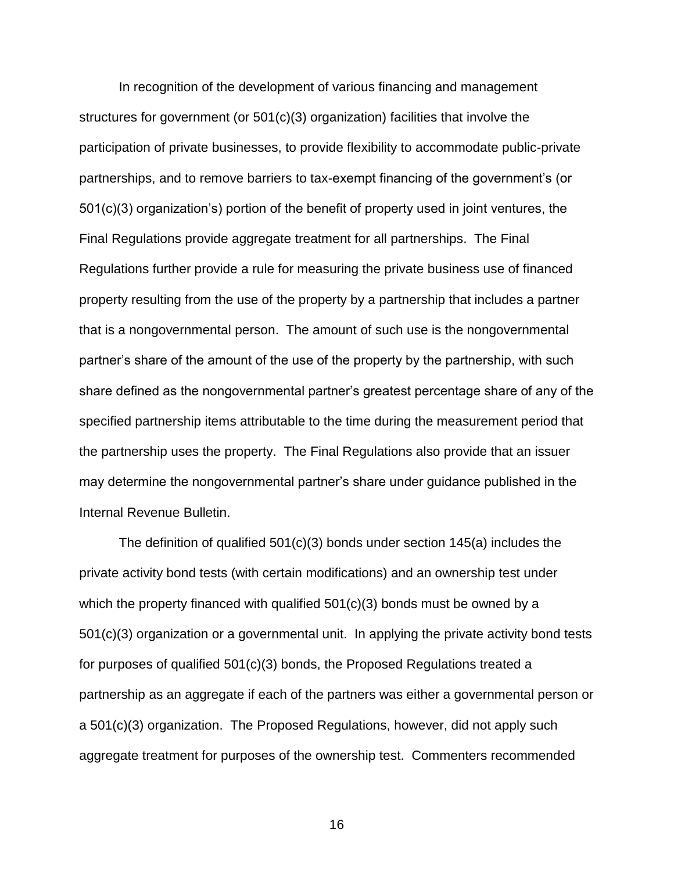In recognition of the development of various financing and management structures for government (or 501(c)(3) organization) facilities that involve the participation of private businesses, to provide flexibility to accommodate public-private partnerships, and to remove barriers to tax-exempt financing of the government's (or 501(c)(3) organization's) portion of the benefit of property used in joint ventures, the Final Regulations provide aggregate treatment for all partnerships. The Final Regulations further provide a rule for measuring the private business use of financed property resulting from the use of the property by a partnership that includes a partner that is a nongovernmental person. The amount of such use is the nongovernmental partner's share of the amount of the use of the property by the partnership, with such share defined as the nongovernmental partner's greatest percentage share of any of the specified partnership items attributable to the time during the measurement period that the partnership uses the property. The Final Regulations also provide that an issuer may determine the nongovernmental partner's share under guidance published in the Internal Revenue Bulletin.

The definition of qualified  $501(c)(3)$  bonds under section  $145(a)$  includes the private activity bond tests (with certain modifications) and an ownership test under which the property financed with qualified 501(c)(3) bonds must be owned by a 501(c)(3) organization or a governmental unit. In applying the private activity bond tests for purposes of qualified 501(c)(3) bonds, the Proposed Regulations treated a partnership as an aggregate if each of the partners was either a governmental person or a 501(c)(3) organization. The Proposed Regulations, however, did not apply such aggregate treatment for purposes of the ownership test. Commenters recommended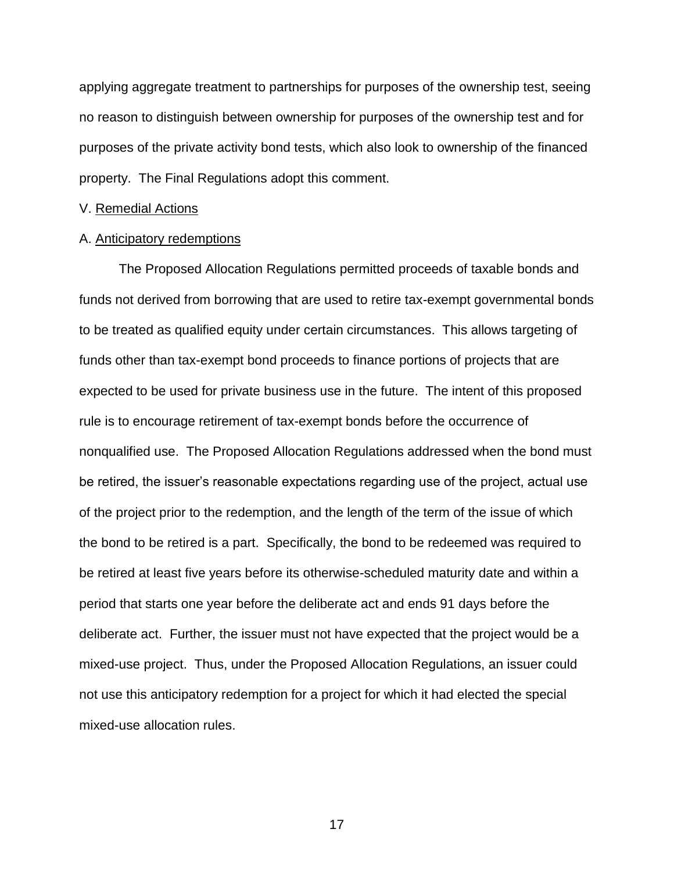applying aggregate treatment to partnerships for purposes of the ownership test, seeing no reason to distinguish between ownership for purposes of the ownership test and for purposes of the private activity bond tests, which also look to ownership of the financed property. The Final Regulations adopt this comment.

### V. Remedial Actions

## A. Anticipatory redemptions

The Proposed Allocation Regulations permitted proceeds of taxable bonds and funds not derived from borrowing that are used to retire tax-exempt governmental bonds to be treated as qualified equity under certain circumstances. This allows targeting of funds other than tax-exempt bond proceeds to finance portions of projects that are expected to be used for private business use in the future. The intent of this proposed rule is to encourage retirement of tax-exempt bonds before the occurrence of nonqualified use. The Proposed Allocation Regulations addressed when the bond must be retired, the issuer's reasonable expectations regarding use of the project, actual use of the project prior to the redemption, and the length of the term of the issue of which the bond to be retired is a part. Specifically, the bond to be redeemed was required to be retired at least five years before its otherwise-scheduled maturity date and within a period that starts one year before the deliberate act and ends 91 days before the deliberate act. Further, the issuer must not have expected that the project would be a mixed-use project. Thus, under the Proposed Allocation Regulations, an issuer could not use this anticipatory redemption for a project for which it had elected the special mixed-use allocation rules.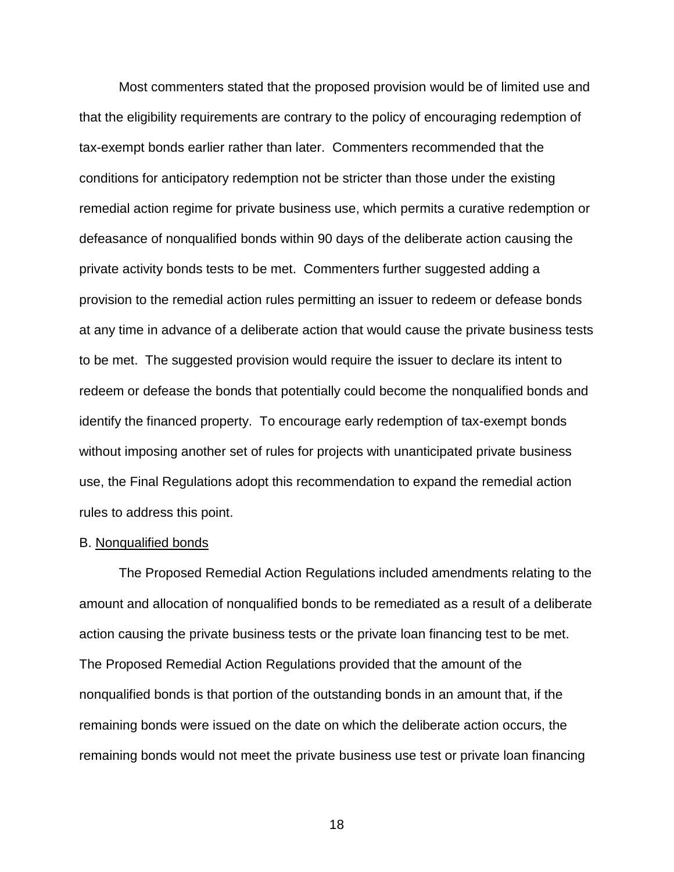Most commenters stated that the proposed provision would be of limited use and that the eligibility requirements are contrary to the policy of encouraging redemption of tax-exempt bonds earlier rather than later. Commenters recommended that the conditions for anticipatory redemption not be stricter than those under the existing remedial action regime for private business use, which permits a curative redemption or defeasance of nonqualified bonds within 90 days of the deliberate action causing the private activity bonds tests to be met. Commenters further suggested adding a provision to the remedial action rules permitting an issuer to redeem or defease bonds at any time in advance of a deliberate action that would cause the private business tests to be met. The suggested provision would require the issuer to declare its intent to redeem or defease the bonds that potentially could become the nonqualified bonds and identify the financed property. To encourage early redemption of tax-exempt bonds without imposing another set of rules for projects with unanticipated private business use, the Final Regulations adopt this recommendation to expand the remedial action rules to address this point.

#### B. Nonqualified bonds

The Proposed Remedial Action Regulations included amendments relating to the amount and allocation of nonqualified bonds to be remediated as a result of a deliberate action causing the private business tests or the private loan financing test to be met. The Proposed Remedial Action Regulations provided that the amount of the nonqualified bonds is that portion of the outstanding bonds in an amount that, if the remaining bonds were issued on the date on which the deliberate action occurs, the remaining bonds would not meet the private business use test or private loan financing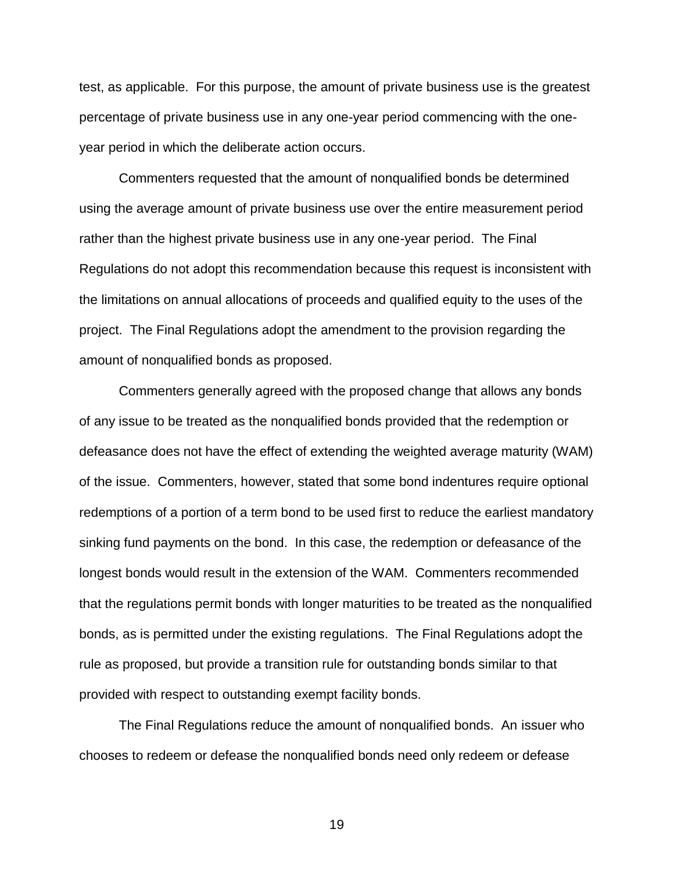test, as applicable. For this purpose, the amount of private business use is the greatest percentage of private business use in any one-year period commencing with the oneyear period in which the deliberate action occurs.

Commenters requested that the amount of nonqualified bonds be determined using the average amount of private business use over the entire measurement period rather than the highest private business use in any one-year period. The Final Regulations do not adopt this recommendation because this request is inconsistent with the limitations on annual allocations of proceeds and qualified equity to the uses of the project. The Final Regulations adopt the amendment to the provision regarding the amount of nonqualified bonds as proposed.

Commenters generally agreed with the proposed change that allows any bonds of any issue to be treated as the nonqualified bonds provided that the redemption or defeasance does not have the effect of extending the weighted average maturity (WAM) of the issue. Commenters, however, stated that some bond indentures require optional redemptions of a portion of a term bond to be used first to reduce the earliest mandatory sinking fund payments on the bond. In this case, the redemption or defeasance of the longest bonds would result in the extension of the WAM. Commenters recommended that the regulations permit bonds with longer maturities to be treated as the nonqualified bonds, as is permitted under the existing regulations. The Final Regulations adopt the rule as proposed, but provide a transition rule for outstanding bonds similar to that provided with respect to outstanding exempt facility bonds.

The Final Regulations reduce the amount of nonqualified bonds. An issuer who chooses to redeem or defease the nonqualified bonds need only redeem or defease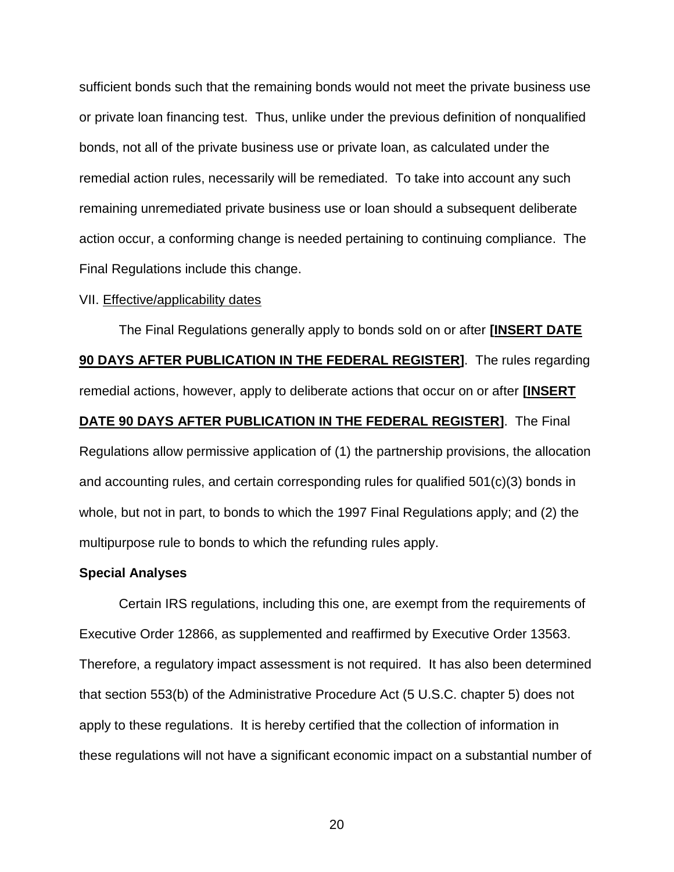sufficient bonds such that the remaining bonds would not meet the private business use or private loan financing test. Thus, unlike under the previous definition of nonqualified bonds, not all of the private business use or private loan, as calculated under the remedial action rules, necessarily will be remediated. To take into account any such remaining unremediated private business use or loan should a subsequent deliberate action occur, a conforming change is needed pertaining to continuing compliance. The Final Regulations include this change.

### VII. Effective/applicability dates

The Final Regulations generally apply to bonds sold on or after **[INSERT DATE 90 DAYS AFTER PUBLICATION IN THE FEDERAL REGISTER]**. The rules regarding remedial actions, however, apply to deliberate actions that occur on or after **[INSERT DATE 90 DAYS AFTER PUBLICATION IN THE FEDERAL REGISTER]**. The Final Regulations allow permissive application of (1) the partnership provisions, the allocation and accounting rules, and certain corresponding rules for qualified 501(c)(3) bonds in whole, but not in part, to bonds to which the 1997 Final Regulations apply; and (2) the multipurpose rule to bonds to which the refunding rules apply.

#### **Special Analyses**

Certain IRS regulations, including this one, are exempt from the requirements of Executive Order 12866, as supplemented and reaffirmed by Executive Order 13563. Therefore, a regulatory impact assessment is not required. It has also been determined that section 553(b) of the Administrative Procedure Act (5 U.S.C. chapter 5) does not apply to these regulations. It is hereby certified that the collection of information in these regulations will not have a significant economic impact on a substantial number of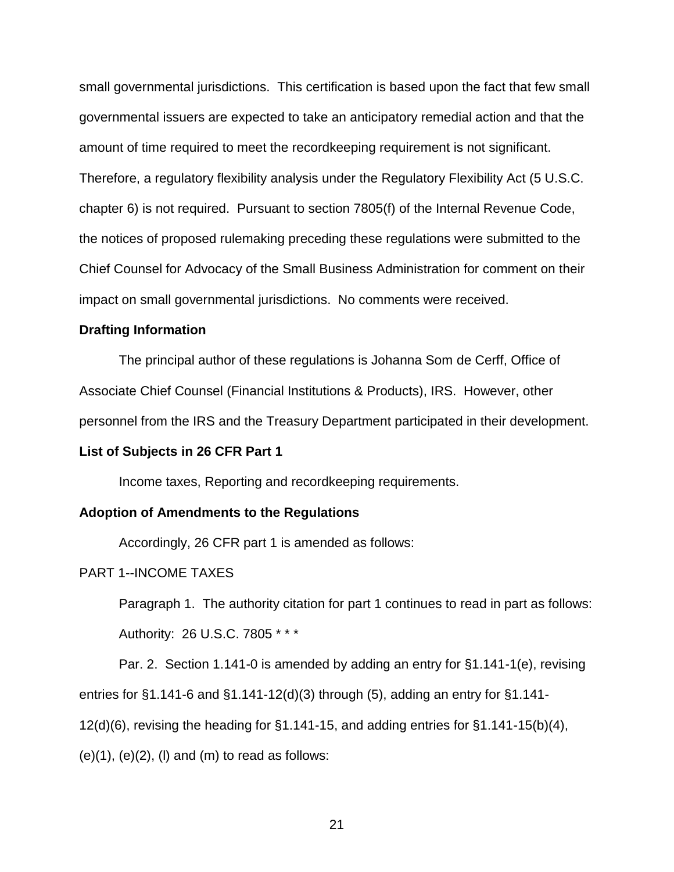small governmental jurisdictions. This certification is based upon the fact that few small governmental issuers are expected to take an anticipatory remedial action and that the amount of time required to meet the recordkeeping requirement is not significant. Therefore, a regulatory flexibility analysis under the Regulatory Flexibility Act (5 U.S.C. chapter 6) is not required. Pursuant to section 7805(f) of the Internal Revenue Code, the notices of proposed rulemaking preceding these regulations were submitted to the Chief Counsel for Advocacy of the Small Business Administration for comment on their impact on small governmental jurisdictions. No comments were received.

## **Drafting Information**

The principal author of these regulations is Johanna Som de Cerff, Office of Associate Chief Counsel (Financial Institutions & Products), IRS. However, other personnel from the IRS and the Treasury Department participated in their development.

#### **List of Subjects in 26 CFR Part 1**

Income taxes, Reporting and recordkeeping requirements.

## **Adoption of Amendments to the Regulations**

Accordingly, 26 CFR part 1 is amended as follows:

#### PART 1--INCOME TAXES

Paragraph 1. The authority citation for part 1 continues to read in part as follows: Authority: 26 U.S.C. 7805 \* \* \*

Par. 2. Section 1.141-0 is amended by adding an entry for §1.141-1(e), revising

entries for §1.141-6 and §1.141-12(d)(3) through (5), adding an entry for §1.141-

12(d)(6), revising the heading for §1.141-15, and adding entries for §1.141-15(b)(4),

 $(e)(1)$ ,  $(e)(2)$ ,  $(l)$  and  $(m)$  to read as follows: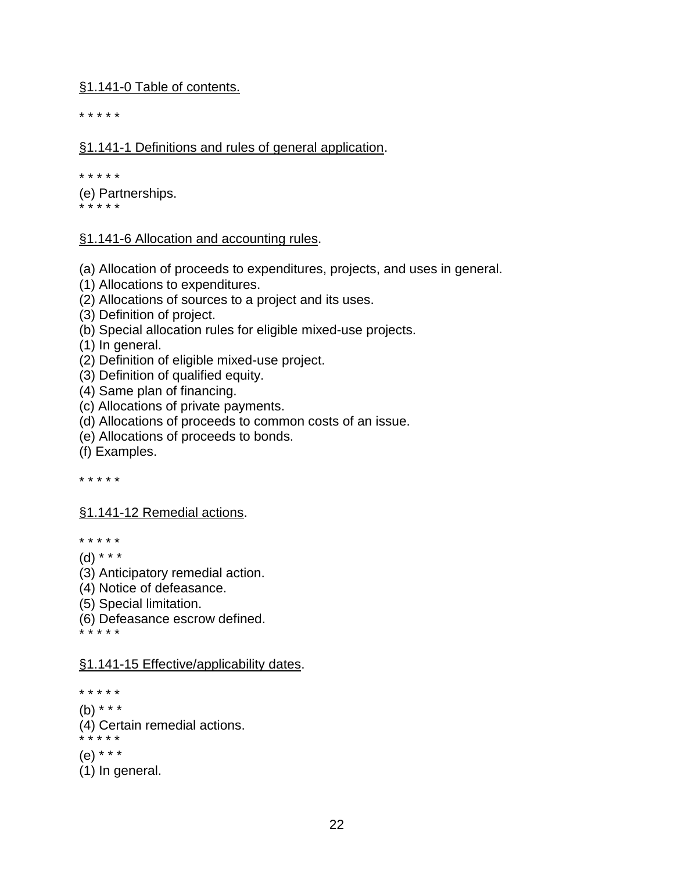§1.141-0 Table of contents.

\* \* \* \* \*

## §1.141-1 Definitions and rules of general application.

\* \* \* \* \*

(e) Partnerships. \* \* \* \* \*

## §1.141-6 Allocation and accounting rules.

(a) Allocation of proceeds to expenditures, projects, and uses in general.

- (1) Allocations to expenditures.
- (2) Allocations of sources to a project and its uses.
- (3) Definition of project.
- (b) Special allocation rules for eligible mixed-use projects.
- (1) In general.
- (2) Definition of eligible mixed-use project.
- (3) Definition of qualified equity.
- (4) Same plan of financing.
- (c) Allocations of private payments.
- (d) Allocations of proceeds to common costs of an issue.
- (e) Allocations of proceeds to bonds.

(f) Examples.

\* \* \* \* \*

## §1.141-12 Remedial actions.

\* \* \* \* \*

- (d) \* \* \*
- (3) Anticipatory remedial action.
- (4) Notice of defeasance.
- (5) Special limitation.
- (6) Defeasance escrow defined.

\* \* \* \* \*

## §1.141-15 Effective/applicability dates.

\* \* \* \* \*

- $(b)$  \* \* \*
- (4) Certain remedial actions.

\* \* \* \* \*

- (e) \* \* \*
- (1) In general.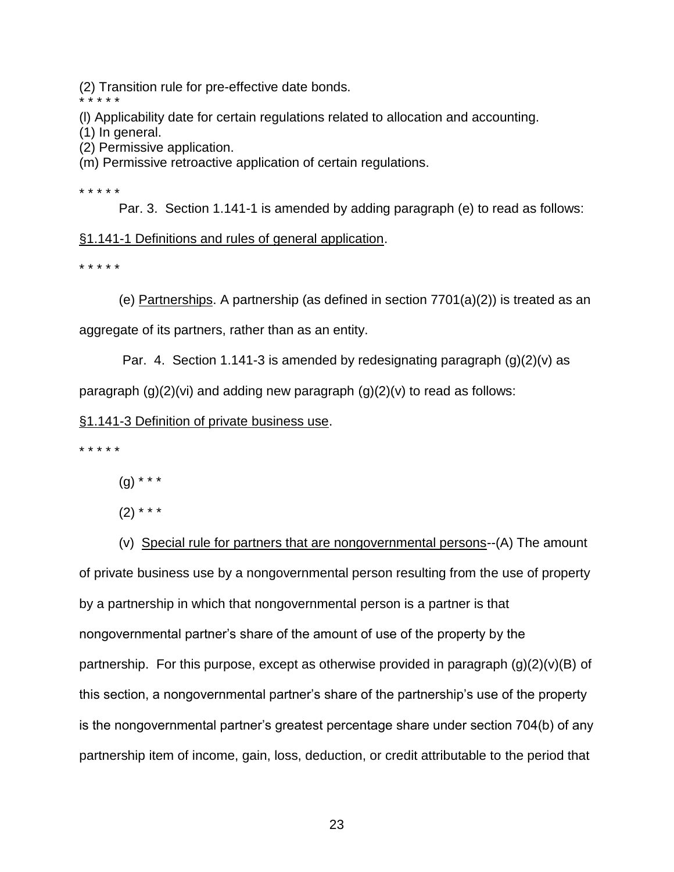(2) Transition rule for pre-effective date bonds.

\* \* \* \* \*

(l) Applicability date for certain regulations related to allocation and accounting.

- (1) In general.
- (2) Permissive application.

(m) Permissive retroactive application of certain regulations.

\* \* \* \* \*

Par. 3. Section 1.141-1 is amended by adding paragraph (e) to read as follows:

## §1.141-1 Definitions and rules of general application.

\* \* \* \* \*

(e) Partnerships. A partnership (as defined in section  $7701(a)(2)$ ) is treated as an

aggregate of its partners, rather than as an entity.

Par. 4. Section 1.141-3 is amended by redesignating paragraph  $(q)(2)(v)$  as

paragraph  $(q)(2)(vi)$  and adding new paragraph  $(q)(2)(v)$  to read as follows:

§1.141-3 Definition of private business use.

\* \* \* \* \*

 $(g)$  \* \* \*

 $(2)$  \* \* \*

(v) Special rule for partners that are nongovernmental persons--(A) The amount of private business use by a nongovernmental person resulting from the use of property by a partnership in which that nongovernmental person is a partner is that nongovernmental partner's share of the amount of use of the property by the partnership. For this purpose, except as otherwise provided in paragraph  $(g)(2)(v)(B)$  of this section, a nongovernmental partner's share of the partnership's use of the property is the nongovernmental partner's greatest percentage share under section 704(b) of any partnership item of income, gain, loss, deduction, or credit attributable to the period that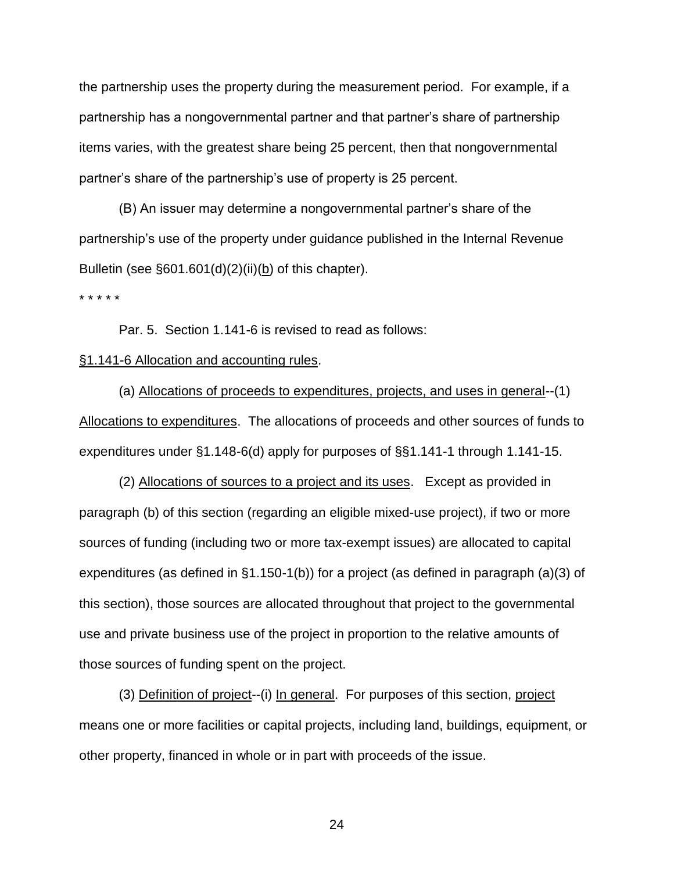the partnership uses the property during the measurement period. For example, if a partnership has a nongovernmental partner and that partner's share of partnership items varies, with the greatest share being 25 percent, then that nongovernmental partner's share of the partnership's use of property is 25 percent.

(B) An issuer may determine a nongovernmental partner's share of the partnership's use of the property under guidance published in the Internal Revenue Bulletin (see §601.601(d)(2)(ii)(b) of this chapter).

\* \* \* \* \*

Par. 5. Section 1.141-6 is revised to read as follows:

## §1.141-6 Allocation and accounting rules.

(a) Allocations of proceeds to expenditures, projects, and uses in general--(1) Allocations to expenditures. The allocations of proceeds and other sources of funds to expenditures under §1.148-6(d) apply for purposes of §§1.141-1 through 1.141-15.

(2) Allocations of sources to a project and its uses. Except as provided in paragraph (b) of this section (regarding an eligible mixed-use project), if two or more sources of funding (including two or more tax-exempt issues) are allocated to capital expenditures (as defined in §1.150-1(b)) for a project (as defined in paragraph (a)(3) of this section), those sources are allocated throughout that project to the governmental use and private business use of the project in proportion to the relative amounts of those sources of funding spent on the project.

(3) Definition of project--(i) In general. For purposes of this section, project means one or more facilities or capital projects, including land, buildings, equipment, or other property, financed in whole or in part with proceeds of the issue.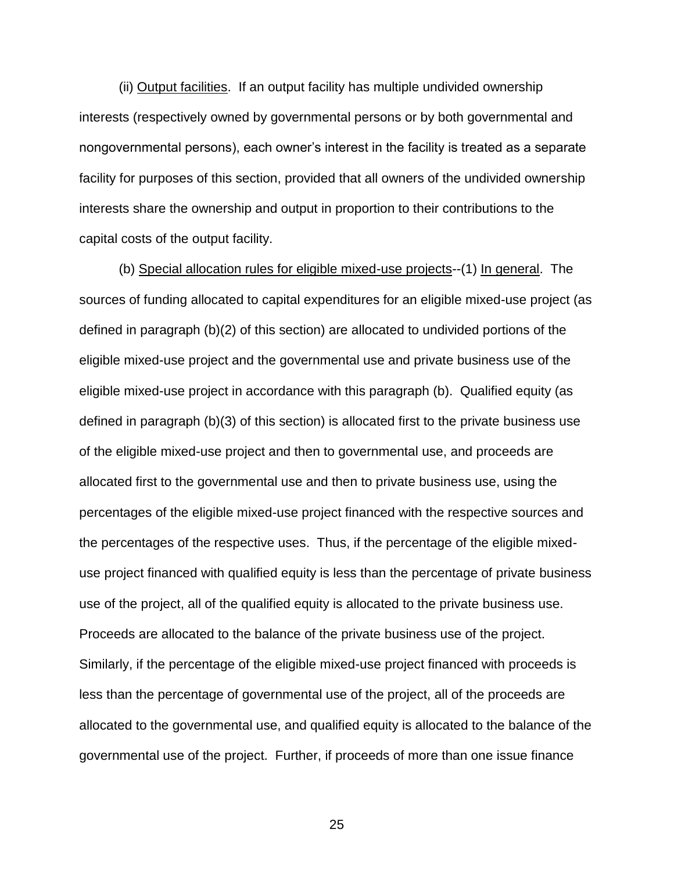(ii) Output facilities. If an output facility has multiple undivided ownership interests (respectively owned by governmental persons or by both governmental and nongovernmental persons), each owner's interest in the facility is treated as a separate facility for purposes of this section, provided that all owners of the undivided ownership interests share the ownership and output in proportion to their contributions to the capital costs of the output facility.

(b) Special allocation rules for eligible mixed-use projects--(1) In general. The sources of funding allocated to capital expenditures for an eligible mixed-use project (as defined in paragraph (b)(2) of this section) are allocated to undivided portions of the eligible mixed-use project and the governmental use and private business use of the eligible mixed-use project in accordance with this paragraph (b). Qualified equity (as defined in paragraph (b)(3) of this section) is allocated first to the private business use of the eligible mixed-use project and then to governmental use, and proceeds are allocated first to the governmental use and then to private business use, using the percentages of the eligible mixed-use project financed with the respective sources and the percentages of the respective uses. Thus, if the percentage of the eligible mixeduse project financed with qualified equity is less than the percentage of private business use of the project, all of the qualified equity is allocated to the private business use. Proceeds are allocated to the balance of the private business use of the project. Similarly, if the percentage of the eligible mixed-use project financed with proceeds is less than the percentage of governmental use of the project, all of the proceeds are allocated to the governmental use, and qualified equity is allocated to the balance of the governmental use of the project. Further, if proceeds of more than one issue finance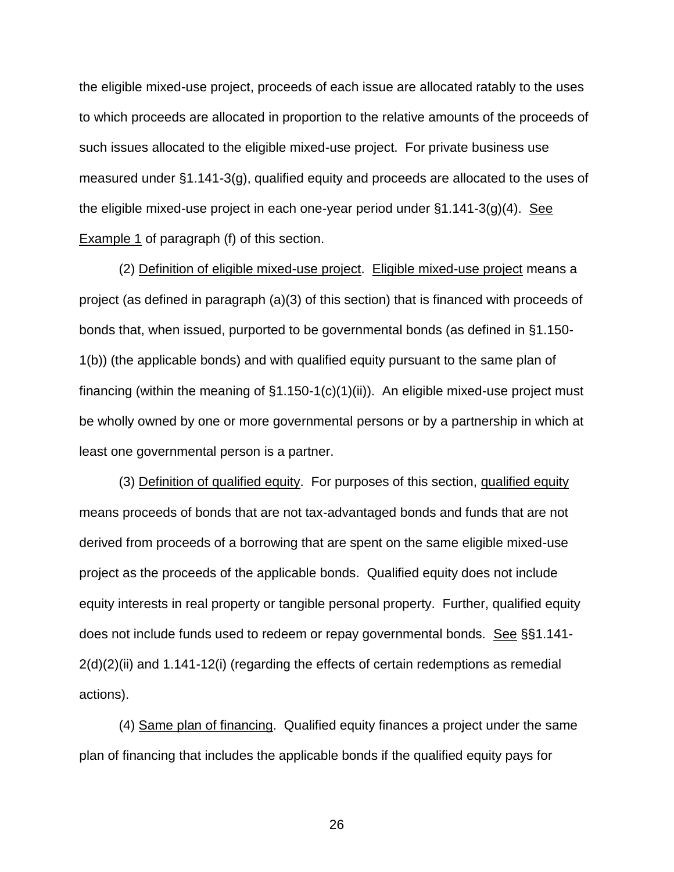the eligible mixed-use project, proceeds of each issue are allocated ratably to the uses to which proceeds are allocated in proportion to the relative amounts of the proceeds of such issues allocated to the eligible mixed-use project. For private business use measured under §1.141-3(g), qualified equity and proceeds are allocated to the uses of the eligible mixed-use project in each one-year period under §1.141-3(g)(4). See Example 1 of paragraph (f) of this section.

(2) Definition of eligible mixed-use project. Eligible mixed-use project means a project (as defined in paragraph (a)(3) of this section) that is financed with proceeds of bonds that, when issued, purported to be governmental bonds (as defined in §1.150- 1(b)) (the applicable bonds) and with qualified equity pursuant to the same plan of financing (within the meaning of  $\S1.150-1(c)(1)(ii)$ ). An eligible mixed-use project must be wholly owned by one or more governmental persons or by a partnership in which at least one governmental person is a partner.

(3) Definition of qualified equity. For purposes of this section, qualified equity means proceeds of bonds that are not tax-advantaged bonds and funds that are not derived from proceeds of a borrowing that are spent on the same eligible mixed-use project as the proceeds of the applicable bonds. Qualified equity does not include equity interests in real property or tangible personal property. Further, qualified equity does not include funds used to redeem or repay governmental bonds. See §§1.141-  $2(d)(2)(ii)$  and 1.141-12(i) (regarding the effects of certain redemptions as remedial actions).

(4) Same plan of financing. Qualified equity finances a project under the same plan of financing that includes the applicable bonds if the qualified equity pays for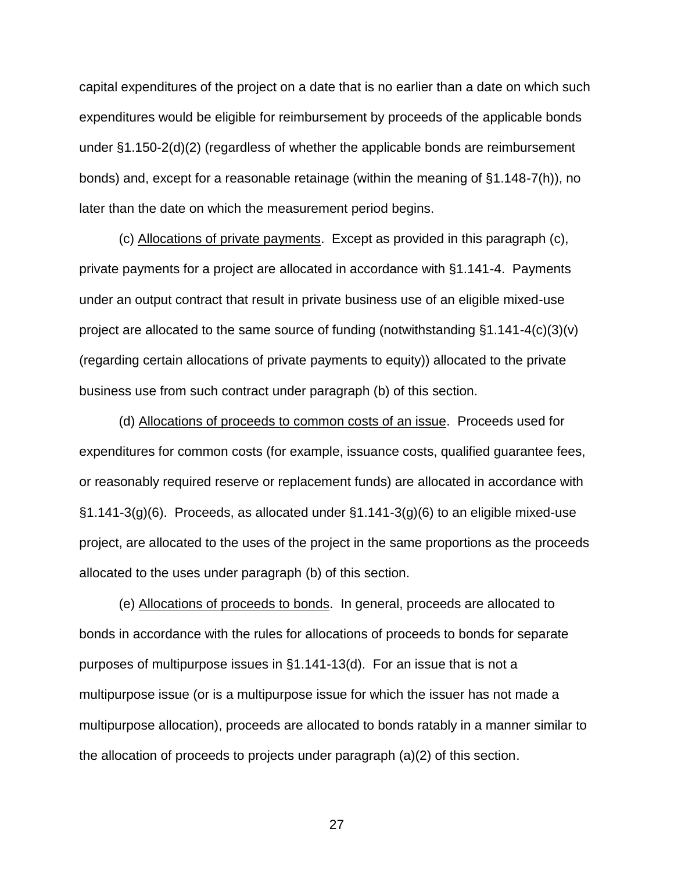capital expenditures of the project on a date that is no earlier than a date on which such expenditures would be eligible for reimbursement by proceeds of the applicable bonds under §1.150-2(d)(2) (regardless of whether the applicable bonds are reimbursement bonds) and, except for a reasonable retainage (within the meaning of §1.148-7(h)), no later than the date on which the measurement period begins.

(c) Allocations of private payments. Except as provided in this paragraph (c), private payments for a project are allocated in accordance with §1.141-4. Payments under an output contract that result in private business use of an eligible mixed-use project are allocated to the same source of funding (notwithstanding §1.141-4(c)(3)(v) (regarding certain allocations of private payments to equity)) allocated to the private business use from such contract under paragraph (b) of this section.

(d) Allocations of proceeds to common costs of an issue. Proceeds used for expenditures for common costs (for example, issuance costs, qualified guarantee fees, or reasonably required reserve or replacement funds) are allocated in accordance with  $\S1.141-3(g)(6)$ . Proceeds, as allocated under  $\S1.141-3(g)(6)$  to an eligible mixed-use project, are allocated to the uses of the project in the same proportions as the proceeds allocated to the uses under paragraph (b) of this section.

(e) Allocations of proceeds to bonds. In general, proceeds are allocated to bonds in accordance with the rules for allocations of proceeds to bonds for separate purposes of multipurpose issues in §1.141-13(d). For an issue that is not a multipurpose issue (or is a multipurpose issue for which the issuer has not made a multipurpose allocation), proceeds are allocated to bonds ratably in a manner similar to the allocation of proceeds to projects under paragraph (a)(2) of this section.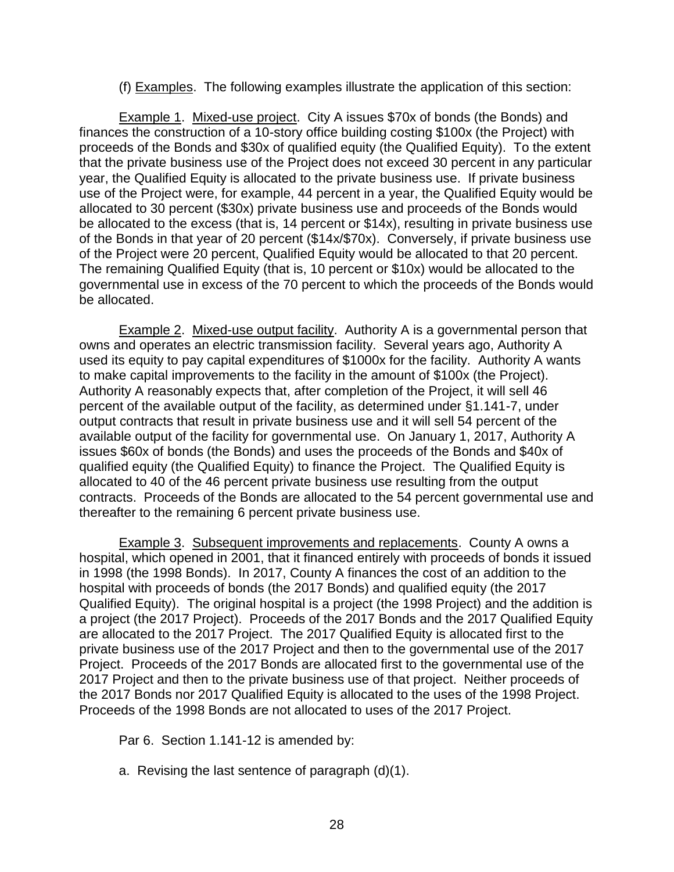(f) Examples. The following examples illustrate the application of this section:

Example 1. Mixed-use project. City A issues \$70x of bonds (the Bonds) and finances the construction of a 10-story office building costing \$100x (the Project) with proceeds of the Bonds and \$30x of qualified equity (the Qualified Equity). To the extent that the private business use of the Project does not exceed 30 percent in any particular year, the Qualified Equity is allocated to the private business use. If private business use of the Project were, for example, 44 percent in a year, the Qualified Equity would be allocated to 30 percent (\$30x) private business use and proceeds of the Bonds would be allocated to the excess (that is, 14 percent or \$14x), resulting in private business use of the Bonds in that year of 20 percent (\$14x/\$70x). Conversely, if private business use of the Project were 20 percent, Qualified Equity would be allocated to that 20 percent. The remaining Qualified Equity (that is, 10 percent or \$10x) would be allocated to the governmental use in excess of the 70 percent to which the proceeds of the Bonds would be allocated.

Example 2. Mixed-use output facility. Authority A is a governmental person that owns and operates an electric transmission facility. Several years ago, Authority A used its equity to pay capital expenditures of \$1000x for the facility. Authority A wants to make capital improvements to the facility in the amount of \$100x (the Project). Authority A reasonably expects that, after completion of the Project, it will sell 46 percent of the available output of the facility, as determined under §1.141-7, under output contracts that result in private business use and it will sell 54 percent of the available output of the facility for governmental use. On January 1, 2017, Authority A issues \$60x of bonds (the Bonds) and uses the proceeds of the Bonds and \$40x of qualified equity (the Qualified Equity) to finance the Project. The Qualified Equity is allocated to 40 of the 46 percent private business use resulting from the output contracts. Proceeds of the Bonds are allocated to the 54 percent governmental use and thereafter to the remaining 6 percent private business use.

Example 3. Subsequent improvements and replacements. County A owns a hospital, which opened in 2001, that it financed entirely with proceeds of bonds it issued in 1998 (the 1998 Bonds). In 2017, County A finances the cost of an addition to the hospital with proceeds of bonds (the 2017 Bonds) and qualified equity (the 2017 Qualified Equity). The original hospital is a project (the 1998 Project) and the addition is a project (the 2017 Project). Proceeds of the 2017 Bonds and the 2017 Qualified Equity are allocated to the 2017 Project. The 2017 Qualified Equity is allocated first to the private business use of the 2017 Project and then to the governmental use of the 2017 Project. Proceeds of the 2017 Bonds are allocated first to the governmental use of the 2017 Project and then to the private business use of that project. Neither proceeds of the 2017 Bonds nor 2017 Qualified Equity is allocated to the uses of the 1998 Project. Proceeds of the 1998 Bonds are not allocated to uses of the 2017 Project.

Par 6. Section 1.141-12 is amended by:

a. Revising the last sentence of paragraph (d)(1).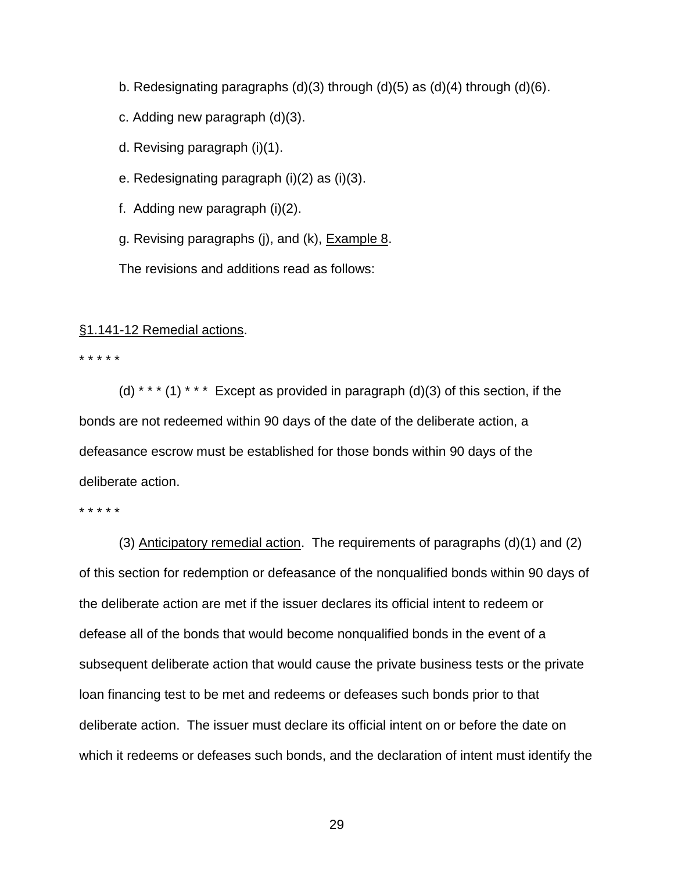- b. Redesignating paragraphs (d)(3) through (d)(5) as (d)(4) through (d)(6).
- c. Adding new paragraph (d)(3).
- d. Revising paragraph (i)(1).
- e. Redesignating paragraph (i)(2) as (i)(3).
- f. Adding new paragraph (i)(2).
- g. Revising paragraphs (j), and (k), **Example 8.**

The revisions and additions read as follows:

## §1.141-12 Remedial actions.

#### \* \* \* \* \*

(d) \* \* \* (1) \* \* \* Except as provided in paragraph (d)(3) of this section, if the bonds are not redeemed within 90 days of the date of the deliberate action, a defeasance escrow must be established for those bonds within 90 days of the deliberate action.

\* \* \* \* \*

(3) Anticipatory remedial action. The requirements of paragraphs (d)(1) and (2) of this section for redemption or defeasance of the nonqualified bonds within 90 days of the deliberate action are met if the issuer declares its official intent to redeem or defease all of the bonds that would become nonqualified bonds in the event of a subsequent deliberate action that would cause the private business tests or the private loan financing test to be met and redeems or defeases such bonds prior to that deliberate action. The issuer must declare its official intent on or before the date on which it redeems or defeases such bonds, and the declaration of intent must identify the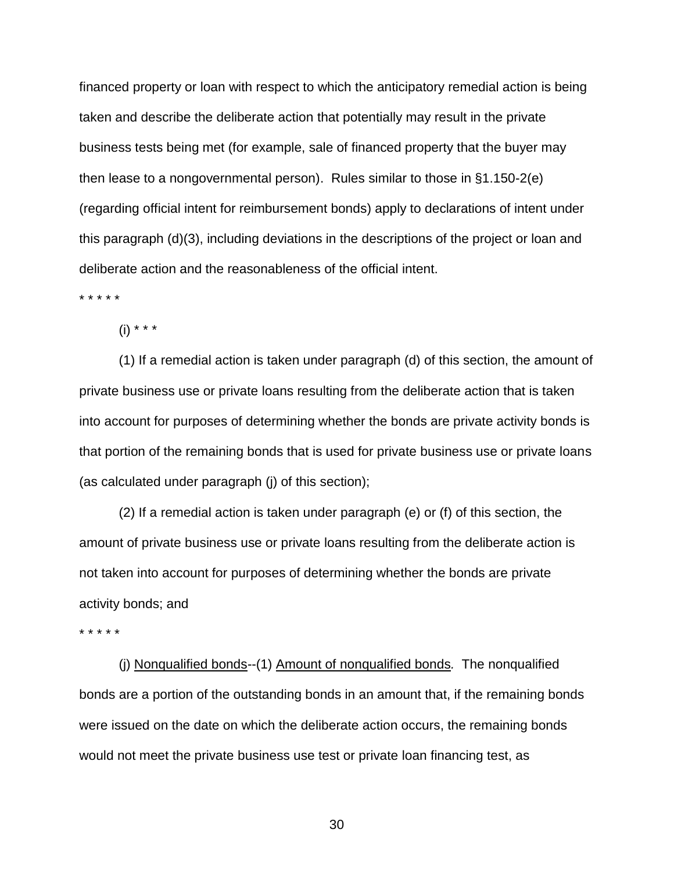financed property or loan with respect to which the anticipatory remedial action is being taken and describe the deliberate action that potentially may result in the private business tests being met (for example, sale of financed property that the buyer may then lease to a nongovernmental person). Rules similar to those in §1.150-2(e) (regarding official intent for reimbursement bonds) apply to declarations of intent under this paragraph (d)(3), including deviations in the descriptions of the project or loan and deliberate action and the reasonableness of the official intent.

\* \* \* \* \*

 $(i) * * * *$ 

(1) If a remedial action is taken under paragraph (d) of this section, the amount of private business use or private loans resulting from the deliberate action that is taken into account for purposes of determining whether the bonds are private activity bonds is that portion of the remaining bonds that is used for private business use or private loans (as calculated under paragraph (j) of this section);

(2) If a remedial action is taken under paragraph (e) or (f) of this section, the amount of private business use or private loans resulting from the deliberate action is not taken into account for purposes of determining whether the bonds are private activity bonds; and

\* \* \* \* \*

(j) Nonqualified bonds--(1) Amount of nonqualified bonds*.* The nonqualified bonds are a portion of the outstanding bonds in an amount that, if the remaining bonds were issued on the date on which the deliberate action occurs, the remaining bonds would not meet the private business use test or private loan financing test, as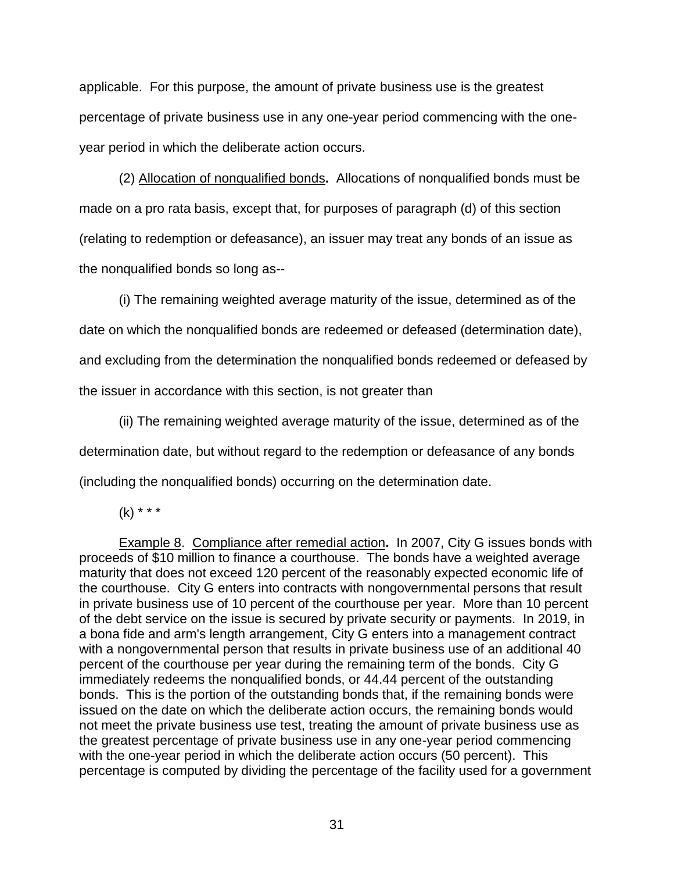applicable. For this purpose, the amount of private business use is the greatest percentage of private business use in any one-year period commencing with the oneyear period in which the deliberate action occurs.

(2) Allocation of nonqualified bonds**.** Allocations of nonqualified bonds must be made on a pro rata basis, except that, for purposes of paragraph (d) of this section (relating to redemption or defeasance), an issuer may treat any bonds of an issue as the nonqualified bonds so long as--

(i) The remaining weighted average maturity of the issue, determined as of the date on which the nonqualified bonds are redeemed or defeased (determination date), and excluding from the determination the nonqualified bonds redeemed or defeased by the issuer in accordance with this section, is not greater than

(ii) The remaining weighted average maturity of the issue, determined as of the determination date, but without regard to the redemption or defeasance of any bonds (including the nonqualified bonds) occurring on the determination date.

 $(k)$  \* \* \*

Example 8. Compliance after remedial action**.** In 2007, City G issues bonds with proceeds of \$10 million to finance a courthouse. The bonds have a weighted average maturity that does not exceed 120 percent of the reasonably expected economic life of the courthouse. City G enters into contracts with nongovernmental persons that result in private business use of 10 percent of the courthouse per year. More than 10 percent of the debt service on the issue is secured by private security or payments. In 2019, in a bona fide and arm's length arrangement, City G enters into a management contract with a nongovernmental person that results in private business use of an additional 40 percent of the courthouse per year during the remaining term of the bonds. City G immediately redeems the nonqualified bonds, or 44.44 percent of the outstanding bonds. This is the portion of the outstanding bonds that, if the remaining bonds were issued on the date on which the deliberate action occurs, the remaining bonds would not meet the private business use test, treating the amount of private business use as the greatest percentage of private business use in any one-year period commencing with the one-year period in which the deliberate action occurs (50 percent). This percentage is computed by dividing the percentage of the facility used for a government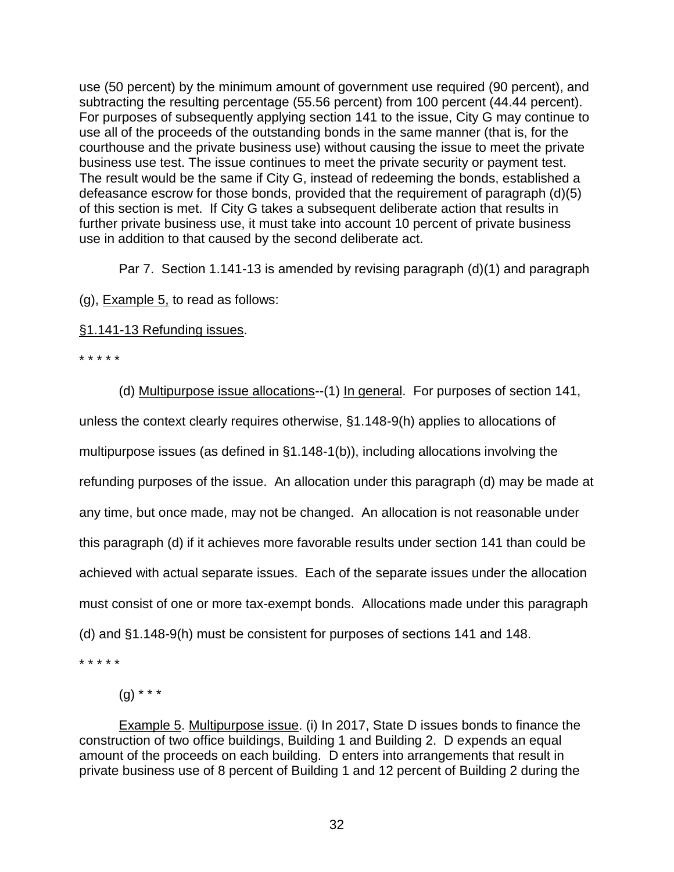use (50 percent) by the minimum amount of government use required (90 percent), and subtracting the resulting percentage (55.56 percent) from 100 percent (44.44 percent). For purposes of subsequently applying section 141 to the issue, City G may continue to use all of the proceeds of the outstanding bonds in the same manner (that is, for the courthouse and the private business use) without causing the issue to meet the private business use test. The issue continues to meet the private security or payment test. The result would be the same if City G, instead of redeeming the bonds, established a defeasance escrow for those bonds, provided that the requirement of paragraph (d)(5) of this section is met. If City G takes a subsequent deliberate action that results in further private business use, it must take into account 10 percent of private business use in addition to that caused by the second deliberate act.

Par 7. Section 1.141-13 is amended by revising paragraph (d)(1) and paragraph

(g), Example 5, to read as follows:

§1.141-13 Refunding issues.

\* \* \* \* \*

(d) Multipurpose issue allocations--(1) In general. For purposes of section 141, unless the context clearly requires otherwise, §1.148-9(h) applies to allocations of multipurpose issues (as defined in §1.148-1(b)), including allocations involving the refunding purposes of the issue. An allocation under this paragraph (d) may be made at any time, but once made, may not be changed. An allocation is not reasonable under this paragraph (d) if it achieves more favorable results under section 141 than could be achieved with actual separate issues. Each of the separate issues under the allocation must consist of one or more tax-exempt bonds. Allocations made under this paragraph (d) and §1.148-9(h) must be consistent for purposes of sections 141 and 148.

\* \* \* \* \*

 $(g)$  \* \* \*

Example 5. Multipurpose issue. (i) In 2017, State D issues bonds to finance the construction of two office buildings, Building 1 and Building 2. D expends an equal amount of the proceeds on each building. D enters into arrangements that result in private business use of 8 percent of Building 1 and 12 percent of Building 2 during the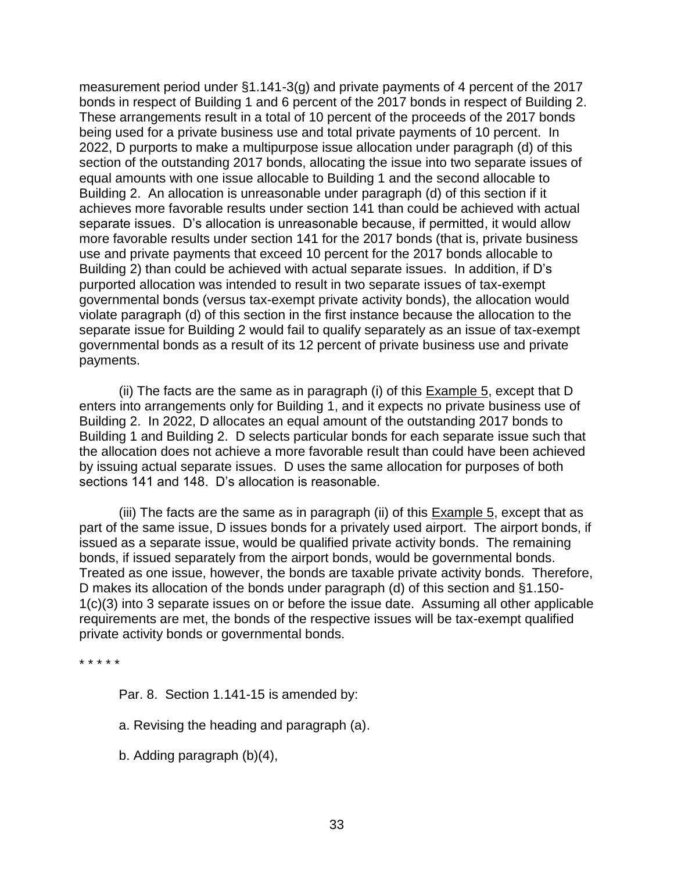measurement period under §1.141-3(g) and private payments of 4 percent of the 2017 bonds in respect of Building 1 and 6 percent of the 2017 bonds in respect of Building 2. These arrangements result in a total of 10 percent of the proceeds of the 2017 bonds being used for a private business use and total private payments of 10 percent. In 2022, D purports to make a multipurpose issue allocation under paragraph (d) of this section of the outstanding 2017 bonds, allocating the issue into two separate issues of equal amounts with one issue allocable to Building 1 and the second allocable to Building 2. An allocation is unreasonable under paragraph (d) of this section if it achieves more favorable results under section 141 than could be achieved with actual separate issues. D's allocation is unreasonable because, if permitted, it would allow more favorable results under section 141 for the 2017 bonds (that is, private business use and private payments that exceed 10 percent for the 2017 bonds allocable to Building 2) than could be achieved with actual separate issues. In addition, if D's purported allocation was intended to result in two separate issues of tax-exempt governmental bonds (versus tax-exempt private activity bonds), the allocation would violate paragraph (d) of this section in the first instance because the allocation to the separate issue for Building 2 would fail to qualify separately as an issue of tax-exempt governmental bonds as a result of its 12 percent of private business use and private payments.

(ii) The facts are the same as in paragraph (i) of this Example 5, except that D enters into arrangements only for Building 1, and it expects no private business use of Building 2. In 2022, D allocates an equal amount of the outstanding 2017 bonds to Building 1 and Building 2. D selects particular bonds for each separate issue such that the allocation does not achieve a more favorable result than could have been achieved by issuing actual separate issues. D uses the same allocation for purposes of both sections 141 and 148. D's allocation is reasonable.

(iii) The facts are the same as in paragraph (ii) of this  $Example\ 5$ , except that as part of the same issue, D issues bonds for a privately used airport. The airport bonds, if issued as a separate issue, would be qualified private activity bonds. The remaining bonds, if issued separately from the airport bonds, would be governmental bonds. Treated as one issue, however, the bonds are taxable private activity bonds. Therefore, D makes its allocation of the bonds under paragraph (d) of this section and §1.150- 1(c)(3) into 3 separate issues on or before the issue date. Assuming all other applicable requirements are met, the bonds of the respective issues will be tax-exempt qualified private activity bonds or governmental bonds.

\* \* \* \* \*

Par. 8. Section 1.141-15 is amended by:

a. Revising the heading and paragraph (a).

b. Adding paragraph (b)(4),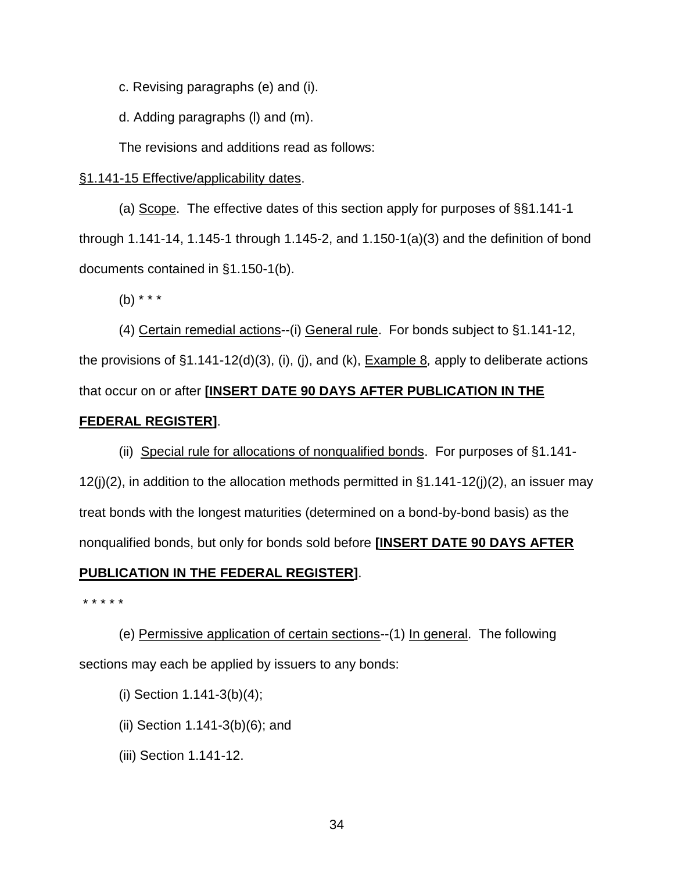c. Revising paragraphs (e) and (i).

d. Adding paragraphs (l) and (m).

The revisions and additions read as follows:

## §1.141-15 Effective/applicability dates.

(a) Scope. The effective dates of this section apply for purposes of §§1.141-1 through 1.141-14, 1.145-1 through 1.145-2, and 1.150-1(a)(3) and the definition of bond documents contained in §1.150-1(b).

(b) \* \* \*

(4) Certain remedial actions--(i) General rule. For bonds subject to §1.141-12, the provisions of §1.141-12(d)(3), (i), (j), and (k), Example 8*,* apply to deliberate actions that occur on or after **[INSERT DATE 90 DAYS AFTER PUBLICATION IN THE** 

## **FEDERAL REGISTER]**.

(ii) Special rule for allocations of nonqualified bonds. For purposes of §1.141-  $12(j)(2)$ , in addition to the allocation methods permitted in  $\S1.141-12(j)(2)$ , an issuer may treat bonds with the longest maturities (determined on a bond-by-bond basis) as the nonqualified bonds, but only for bonds sold before **[INSERT DATE 90 DAYS AFTER PUBLICATION IN THE FEDERAL REGISTER]**.

\* \* \* \* \*

(e) Permissive application of certain sections--(1) In general. The following sections may each be applied by issuers to any bonds:

- (i) Section 1.141-3(b)(4);
- (ii) Section 1.141-3(b)(6); and
- (iii) Section 1.141-12.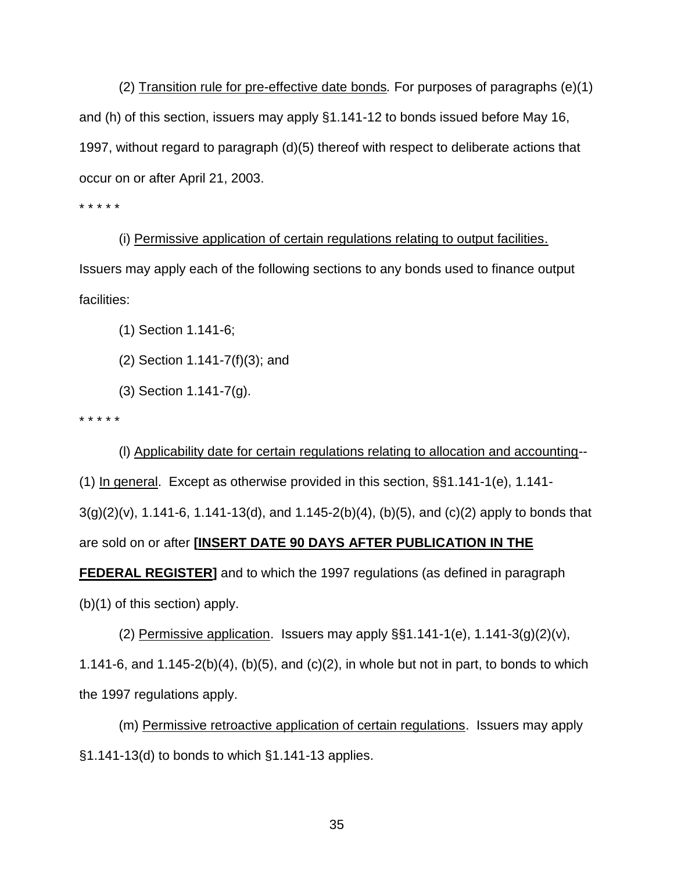(2) Transition rule for pre-effective date bonds*.* For purposes of paragraphs (e)(1) and (h) of this section, issuers may apply §1.141-12 to bonds issued before May 16, 1997, without regard to paragraph (d)(5) thereof with respect to deliberate actions that occur on or after April 21, 2003.

\* \* \* \* \*

(i) Permissive application of certain regulations relating to output facilities. Issuers may apply each of the following sections to any bonds used to finance output facilities:

(1) Section 1.141-6;

- (2) Section 1.141-7(f)(3); and
- (3) Section 1.141-7(g).

\* \* \* \* \*

(l) Applicability date for certain regulations relating to allocation and accounting-- (1) In general. Except as otherwise provided in this section, §§1.141-1(e), 1.141-  $3(g)(2)(v)$ , 1.141-6, 1.141-13(d), and 1.145-2(b)(4), (b)(5), and (c)(2) apply to bonds that are sold on or after **[INSERT DATE 90 DAYS AFTER PUBLICATION IN THE FEDERAL REGISTER]** and to which the 1997 regulations (as defined in paragraph (b)(1) of this section) apply.

(2) Permissive application. Issuers may apply  $\S$ §1.141-1(e), 1.141-3(g)(2)(v), 1.141-6, and 1.145-2(b)(4), (b)(5), and (c)(2), in whole but not in part, to bonds to which the 1997 regulations apply.

(m) Permissive retroactive application of certain regulations. Issuers may apply §1.141-13(d) to bonds to which §1.141-13 applies.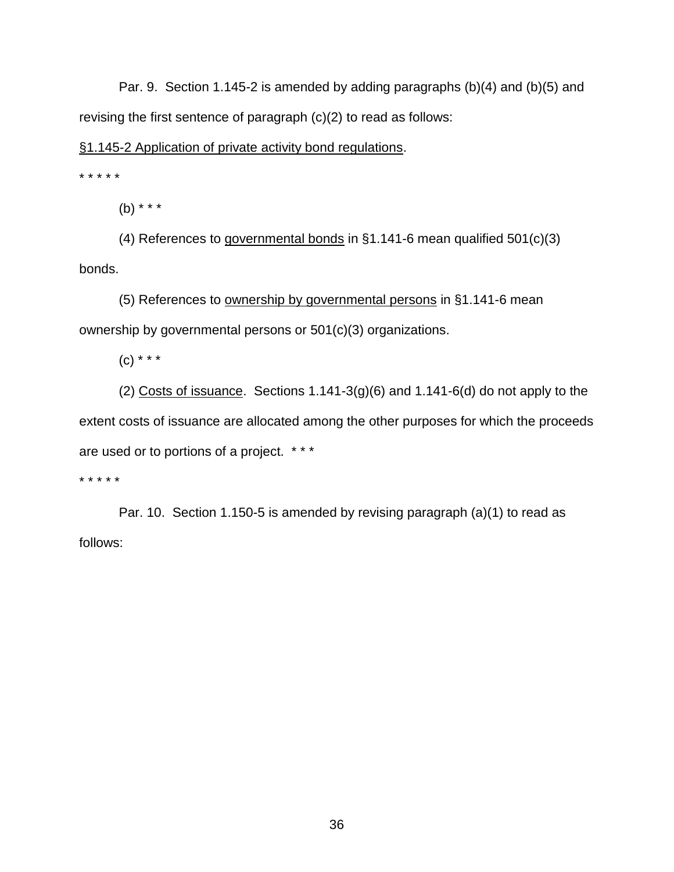Par. 9. Section 1.145-2 is amended by adding paragraphs (b)(4) and (b)(5) and revising the first sentence of paragraph (c)(2) to read as follows:

## §1.145-2 Application of private activity bond regulations.

\* \* \* \* \*

(b) \* \* \*

(4) References to governmental bonds in §1.141-6 mean qualified 501(c)(3) bonds.

(5) References to ownership by governmental persons in §1.141-6 mean ownership by governmental persons or 501(c)(3) organizations.

 $(C)$  \* \* \*

(2) Costs of issuance. Sections  $1.141-3(g)(6)$  and  $1.141-6(d)$  do not apply to the extent costs of issuance are allocated among the other purposes for which the proceeds are used or to portions of a project. \* \* \*

\* \* \* \* \*

Par. 10. Section 1.150-5 is amended by revising paragraph (a)(1) to read as follows: